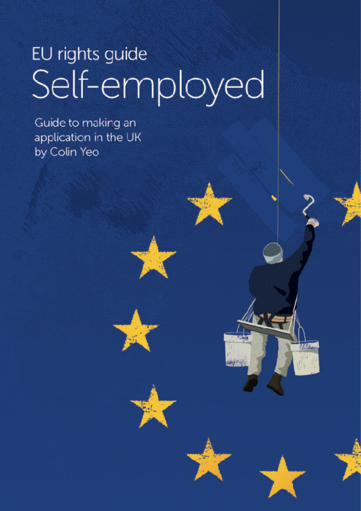# EU rights guide Self-employed

Page 1 of 99

Guide to making an application in the UK by Colin Yeo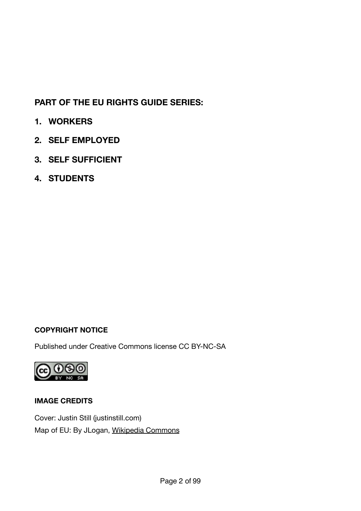#### **PART OF THE EU RIGHTS GUIDE SERIES:**

- **1. WORKERS**
- **2. SELF EMPLOYED**
- **3. SELF SUFFICIENT**
- **4. STUDENTS**

#### **COPYRIGHT NOTICE**

Published under Creative Commons license CC BY-NC-SA



#### **IMAGE CREDITS**

Cover: Justin Still [\(justinstill.com](http://justinstill.com/)) Map of EU: By JLogan, [Wikipedia Commons](http://en.wikipedia.org/wiki/File:Map_of_EU_states_blank.png)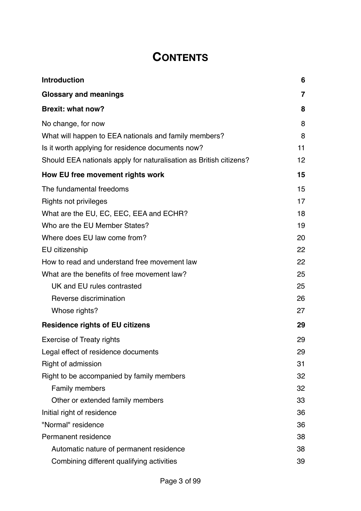# **CONTENTS**

| <b>Introduction</b>                                                | 6  |
|--------------------------------------------------------------------|----|
| <b>Glossary and meanings</b>                                       | 7  |
| <b>Brexit: what now?</b>                                           | 8  |
| No change, for now                                                 | 8  |
| What will happen to EEA nationals and family members?              | 8  |
| Is it worth applying for residence documents now?                  | 11 |
| Should EEA nationals apply for naturalisation as British citizens? | 12 |
| How EU free movement rights work                                   | 15 |
| The fundamental freedoms                                           | 15 |
| Rights not privileges                                              | 17 |
| What are the EU, EC, EEC, EEA and ECHR?                            | 18 |
| Who are the EU Member States?                                      | 19 |
| Where does EU law come from?                                       | 20 |
| EU citizenship                                                     | 22 |
| How to read and understand free movement law                       | 22 |
| What are the benefits of free movement law?                        | 25 |
| UK and EU rules contrasted                                         | 25 |
| Reverse discrimination                                             | 26 |
| Whose rights?                                                      | 27 |
| <b>Residence rights of EU citizens</b>                             | 29 |
| <b>Exercise of Treaty rights</b>                                   | 29 |
| Legal effect of residence documents                                | 29 |
| Right of admission                                                 | 31 |
| Right to be accompanied by family members                          | 32 |
| Family members                                                     | 32 |
| Other or extended family members                                   | 33 |
| Initial right of residence                                         | 36 |
| "Normal" residence                                                 | 36 |
| Permanent residence                                                | 38 |
| Automatic nature of permanent residence                            | 38 |
| Combining different qualifying activities                          | 39 |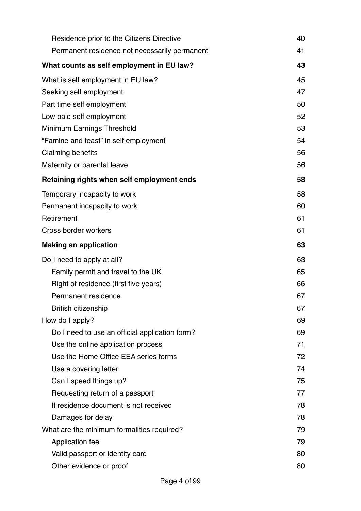| Residence prior to the Citizens Directive      | 40 |  |
|------------------------------------------------|----|--|
| Permanent residence not necessarily permanent  | 41 |  |
| What counts as self employment in EU law?      | 43 |  |
| What is self employment in EU law?             | 45 |  |
| Seeking self employment                        | 47 |  |
| Part time self employment                      | 50 |  |
| Low paid self employment                       | 52 |  |
| Minimum Earnings Threshold                     | 53 |  |
| "Famine and feast" in self employment          | 54 |  |
| <b>Claiming benefits</b>                       | 56 |  |
| Maternity or parental leave                    | 56 |  |
| Retaining rights when self employment ends     | 58 |  |
| Temporary incapacity to work                   | 58 |  |
| Permanent incapacity to work                   | 60 |  |
| Retirement                                     | 61 |  |
| Cross border workers                           | 61 |  |
| <b>Making an application</b>                   | 63 |  |
| Do I need to apply at all?                     | 63 |  |
| Family permit and travel to the UK             | 65 |  |
| Right of residence (first five years)          |    |  |
| Permanent residence                            | 67 |  |
| <b>British citizenship</b>                     | 67 |  |
| How do I apply?                                | 69 |  |
| Do I need to use an official application form? | 69 |  |
| Use the online application process             | 71 |  |
| Use the Home Office EEA series forms           | 72 |  |
| Use a covering letter                          | 74 |  |
| Can I speed things up?                         | 75 |  |
| Requesting return of a passport                | 77 |  |
| If residence document is not received          | 78 |  |
| Damages for delay                              | 78 |  |
| What are the minimum formalities required?     | 79 |  |
| Application fee                                | 79 |  |
| Valid passport or identity card                | 80 |  |
| Other evidence or proof                        | 80 |  |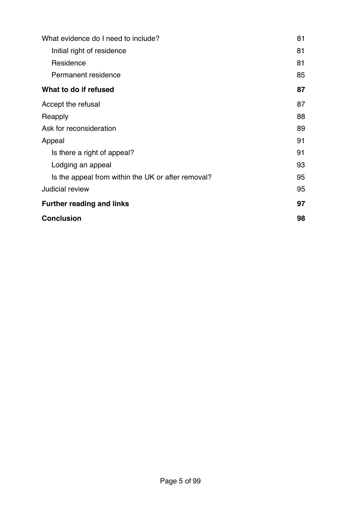| What evidence do I need to include?                |    |
|----------------------------------------------------|----|
| Initial right of residence                         | 81 |
| Residence                                          | 81 |
| Permanent residence                                | 85 |
| What to do if refused                              | 87 |
| Accept the refusal                                 | 87 |
| Reapply                                            | 88 |
| Ask for reconsideration                            | 89 |
| Appeal                                             | 91 |
| Is there a right of appeal?                        | 91 |
| Lodging an appeal                                  | 93 |
| Is the appeal from within the UK or after removal? | 95 |
| Judicial review                                    | 95 |
| <b>Further reading and links</b>                   | 97 |
| <b>Conclusion</b>                                  | 98 |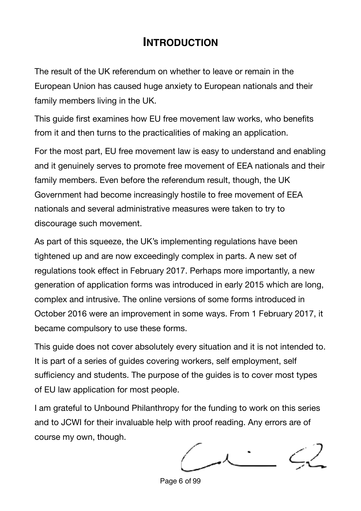## <span id="page-5-0"></span>**INTRODUCTION**

The result of the UK referendum on whether to leave or remain in the European Union has caused huge anxiety to European nationals and their family members living in the UK.

This guide first examines how EU free movement law works, who benefits from it and then turns to the practicalities of making an application.

For the most part, EU free movement law is easy to understand and enabling and it genuinely serves to promote free movement of EEA nationals and their family members. Even before the referendum result, though, the UK Government had become increasingly hostile to free movement of EEA nationals and several administrative measures were taken to try to discourage such movement.

As part of this squeeze, the UK's implementing regulations have been tightened up and are now exceedingly complex in parts. A new set of regulations took effect in February 2017. Perhaps more importantly, a new generation of application forms was introduced in early 2015 which are long, complex and intrusive. The online versions of some forms introduced in October 2016 were an improvement in some ways. From 1 February 2017, it became compulsory to use these forms.

This guide does not cover absolutely every situation and it is not intended to. It is part of a series of guides covering workers, self employment, self sufficiency and students. The purpose of the guides is to cover most types of EU law application for most people.

I am grateful to Unbound Philanthropy for the funding to work on this series and to JCWI for their invaluable help with proof reading. Any errors are of course my own, though.

Page 6 of 99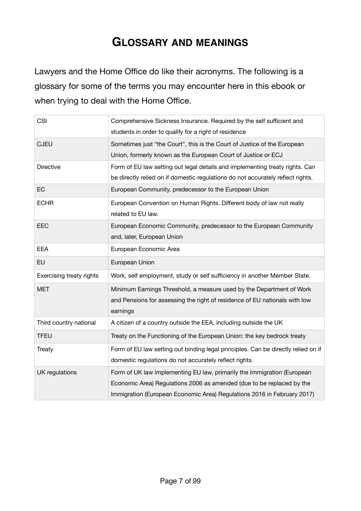## <span id="page-6-0"></span>**GLOSSARY AND MEANINGS**

Lawyers and the Home Office do like their acronyms. The following is a glossary for some of the terms you may encounter here in this ebook or when trying to deal with the Home Office.

| <b>CSI</b>                      | Comprehensive Sickness Insurance. Required by the self sufficient and<br>students in order to qualify for a right of residence                                                                                              |
|---------------------------------|-----------------------------------------------------------------------------------------------------------------------------------------------------------------------------------------------------------------------------|
| <b>CJEU</b>                     | Sometimes just "the Court", this is the Court of Justice of the European<br>Union, formerly known as the European Court of Justice or ECJ                                                                                   |
| <b>Directive</b>                | Form of EU law setting out legal details and implementing treaty rights. Can<br>be directly relied on if domestic regulations do not accurately reflect rights.                                                             |
| EC                              | European Community, predecessor to the European Union                                                                                                                                                                       |
| <b>ECHR</b>                     | European Convention on Human Rights. Different body of law not really<br>related to EU law.                                                                                                                                 |
| EEC                             | European Economic Community, predecessor to the European Community<br>and, later, European Union                                                                                                                            |
| <b>EEA</b>                      | European Economic Area                                                                                                                                                                                                      |
| <b>EU</b>                       | European Union                                                                                                                                                                                                              |
| <b>Exercising treaty rights</b> | Work, self employment, study or self sufficiency in another Member State.                                                                                                                                                   |
| <b>MET</b>                      | Minimum Earnings Threshold, a measure used by the Department of Work<br>and Pensions for assessing the right of residence of EU nationals with low<br>earnings                                                              |
| Third country national          | A citizen of a country outside the EEA, including outside the UK                                                                                                                                                            |
| <b>TFEU</b>                     | Treaty on the Functioning of the European Union: the key bedrock treaty                                                                                                                                                     |
| Treaty                          | Form of EU law setting out binding legal principles. Can be directly relied on if<br>domestic regulations do not accurately reflect rights.                                                                                 |
| UK regulations                  | Form of UK law implementing EU law, primarily the Immigration (European<br>Economic Area) Regulations 2006 as amended (due to be replaced by the<br>Immigration (European Economic Area) Regulations 2016 in February 2017) |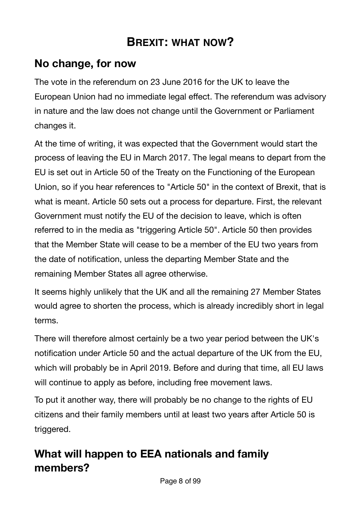# <span id="page-7-0"></span>**BREXIT: WHAT NOW?**

## <span id="page-7-1"></span>**No change, for now**

The vote in the referendum on 23 June 2016 for the UK to leave the European Union had no immediate legal effect. The referendum was advisory in nature and the law does not change until the Government or Parliament changes it.

At the time of writing, it was expected that the Government would start the process of leaving the EU in March 2017. The legal means to depart from the EU is set out in Article 50 of the Treaty on the Functioning of the European Union, so if you hear references to "Article 50" in the context of Brexit, that is what is meant. Article 50 sets out a process for departure. First, the relevant Government must notify the EU of the decision to leave, which is often referred to in the media as "triggering Article 50". Article 50 then provides that the Member State will cease to be a member of the EU two years from the date of notification, unless the departing Member State and the remaining Member States all agree otherwise.

It seems highly unlikely that the UK and all the remaining 27 Member States would agree to shorten the process, which is already incredibly short in legal terms.

There will therefore almost certainly be a two year period between the UK's notification under Article 50 and the actual departure of the UK from the EU, which will probably be in April 2019. Before and during that time, all EU laws will continue to apply as before, including free movement laws.

To put it another way, there will probably be no change to the rights of EU citizens and their family members until at least two years after Article 50 is triggered.

# <span id="page-7-2"></span>**What will happen to EEA nationals and family members?**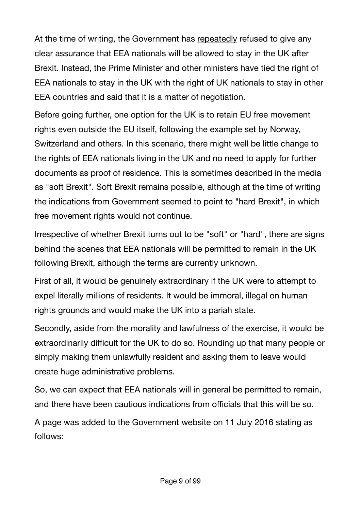At the time of writing, the Government has [repeatedly](https://www.freemovement.org.uk/what-was-said-in-parliament-about-the-status-of-eu-nationals-in-the-uk/) refused to give any clear assurance that EEA nationals will be allowed to stay in the UK after Brexit. Instead, the Prime Minister and other ministers have tied the right of EEA nationals to stay in the UK with the right of UK nationals to stay in other EEA countries and said that it is a matter of negotiation.

Before going further, one option for the UK is to retain EU free movement rights even outside the EU itself, following the example set by Norway, Switzerland and others. In this scenario, there might well be little change to the rights of EEA nationals living in the UK and no need to apply for further documents as proof of residence. This is sometimes described in the media as "soft Brexit". Soft Brexit remains possible, although at the time of writing the indications from Government seemed to point to "hard Brexit", in which free movement rights would not continue.

Irrespective of whether Brexit turns out to be "soft" or "hard", there are signs behind the scenes that EEA nationals will be permitted to remain in the UK following Brexit, although the terms are currently unknown.

First of all, it would be genuinely extraordinary if the UK were to attempt to expel literally millions of residents. It would be immoral, illegal on human rights grounds and would make the UK into a pariah state.

Secondly, aside from the morality and lawfulness of the exercise, it would be extraordinarily difficult for the UK to do so. Rounding up that many people or simply making them unlawfully resident and asking them to leave would create huge administrative problems.

So, we can expect that EEA nationals will in general be permitted to remain, and there have been cautious indications from officials that this will be so.

A [page](https://www.gov.uk/government/news/statement-the-status-of-eu-nationals-in-the-uk) was added to the Government website on 11 July 2016 stating as follows: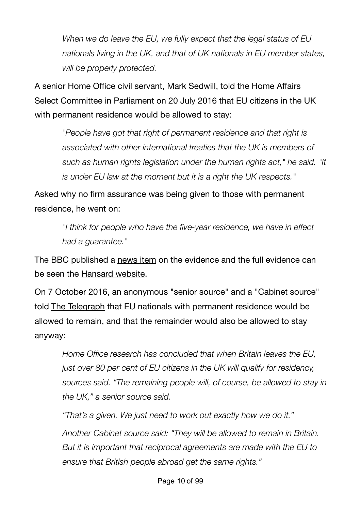*When we do leave the EU, we fully expect that the legal status of EU nationals living in the UK, and that of UK nationals in EU member states, will be properly protected.*

A senior Home Office civil servant, Mark Sedwill, told the Home Affairs Select Committee in Parliament on 20 July 2016 that EU citizens in the UK with permanent residence would be allowed to stay:

*"People have got that right of permanent residence and that right is associated with other international treaties that the UK is members of such as human rights legislation under the human rights act," he said. "It is under EU law at the moment but it is a right the UK respects."*

Asked why no firm assurance was being given to those with permanent residence, he went on:

> *"I think for people who have the five-year residence, we have in effect had a guarantee."*

The BBC published a [news item](http://www.bbc.co.uk/news/uk-politics-36849071) on the evidence and the full evidence can be seen the [Hansard website](http://www.parliament.uk/business/committees/committees-a-z/commons-select/home-affairs-committee/news-parliament-2015/160718-brexit-evidence/).

On 7 October 2016, an anonymous "senior source" and a "Cabinet source" told [The Telegraph](http://www.telegraph.co.uk/news/2016/10/07/every-eu-migrant-can-stay-after-brexit-600000-will-be-given-amne/) that EU nationals with permanent residence would be allowed to remain, and that the remainder would also be allowed to stay anyway:

*Home Office research has concluded that when Britain leaves the EU, just over 80 per cent of EU citizens in the UK will qualify for residency, sources said. "The remaining people will, of course, be allowed to stay in the UK," a senior source said.* 

*"That's a given. We just need to work out exactly how we do it."* 

*Another Cabinet source said: "They will be allowed to remain in Britain. But it is important that reciprocal agreements are made with the EU to ensure that British people abroad get the same rights."*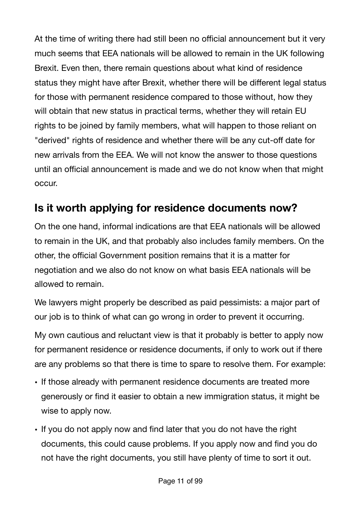At the time of writing there had still been no official announcement but it very much seems that EEA nationals will be allowed to remain in the UK following Brexit. Even then, there remain questions about what kind of residence status they might have after Brexit, whether there will be different legal status for those with permanent residence compared to those without, how they will obtain that new status in practical terms, whether they will retain EU rights to be joined by family members, what will happen to those reliant on "derived" rights of residence and whether there will be any cut-off date for new arrivals from the EEA. We will not know the answer to those questions until an official announcement is made and we do not know when that might occur.

# <span id="page-10-0"></span>**Is it worth applying for residence documents now?**

On the one hand, informal indications are that EEA nationals will be allowed to remain in the UK, and that probably also includes family members. On the other, the official Government position remains that it is a matter for negotiation and we also do not know on what basis EEA nationals will be allowed to remain.

We lawyers might properly be described as paid pessimists: a major part of our job is to think of what can go wrong in order to prevent it occurring.

My own cautious and reluctant view is that it probably is better to apply now for permanent residence or residence documents, if only to work out if there are any problems so that there is time to spare to resolve them. For example:

- If those already with permanent residence documents are treated more generously or find it easier to obtain a new immigration status, it might be wise to apply now.
- If you do not apply now and find later that you do not have the right documents, this could cause problems. If you apply now and find you do not have the right documents, you still have plenty of time to sort it out.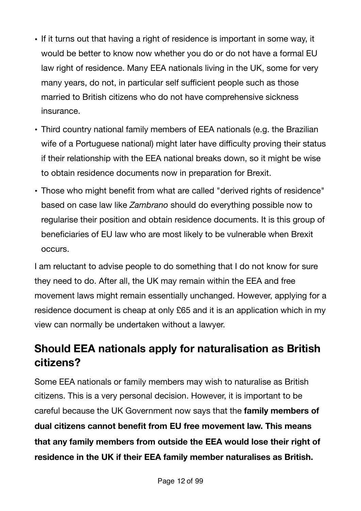- If it turns out that having a right of residence is important in some way, it would be better to know now whether you do or do not have a formal EU law right of residence. Many EEA nationals living in the UK, some for very many years, do not, in particular self sufficient people such as those married to British citizens who do not have comprehensive sickness insurance.
- Third country national family members of EEA nationals (e.g. the Brazilian wife of a Portuguese national) might later have difficulty proving their status if their relationship with the EEA national breaks down, so it might be wise to obtain residence documents now in preparation for Brexit.
- Those who might benefit from what are called "derived rights of residence" based on case law like *Zambrano* should do everything possible now to regularise their position and obtain residence documents. It is this group of beneficiaries of EU law who are most likely to be vulnerable when Brexit occurs.

I am reluctant to advise people to do something that I do not know for sure they need to do. After all, the UK may remain within the EEA and free movement laws might remain essentially unchanged. However, applying for a residence document is cheap at only £65 and it is an application which in my view can normally be undertaken without a lawyer.

# <span id="page-11-0"></span>**Should EEA nationals apply for naturalisation as British citizens?**

Some EEA nationals or family members may wish to naturalise as British citizens. This is a very personal decision. However, it is important to be careful because the UK Government now says that the **family members of dual citizens cannot benefit from EU free movement law. This means that any family members from outside the EEA would lose their right of residence in the UK if their EEA family member naturalises as British.**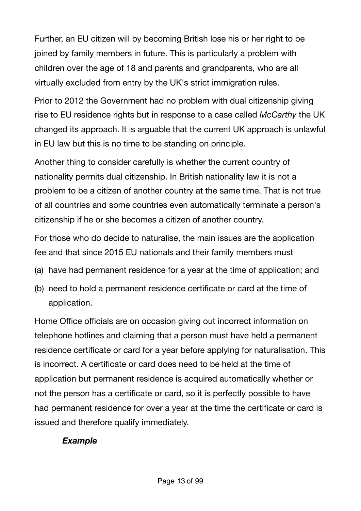Further, an EU citizen will by becoming British lose his or her right to be joined by family members in future. This is particularly a problem with children over the age of 18 and parents and grandparents, who are all virtually excluded from entry by the UK's strict immigration rules.

Prior to 2012 the Government had no problem with dual citizenship giving rise to EU residence rights but in response to a case called *McCarthy* the UK changed its approach. It is arguable that the current UK approach is unlawful in EU law but this is no time to be standing on principle.

Another thing to consider carefully is whether the current country of nationality permits dual citizenship. In British nationality law it is not a problem to be a citizen of another country at the same time. That is not true of all countries and some countries even automatically terminate a person's citizenship if he or she becomes a citizen of another country.

For those who do decide to naturalise, the main issues are the application fee and that since 2015 EU nationals and their family members must

- (a) have had permanent residence for a year at the time of application; and
- (b) need to hold a permanent residence certificate or card at the time of application.

Home Office officials are on occasion giving out incorrect information on telephone hotlines and claiming that a person must have held a permanent residence certificate or card for a year before applying for naturalisation. This is incorrect. A certificate or card does need to be held at the time of application but permanent residence is acquired automatically whether or not the person has a certificate or card, so it is perfectly possible to have had permanent residence for over a year at the time the certificate or card is issued and therefore qualify immediately.

#### *Example*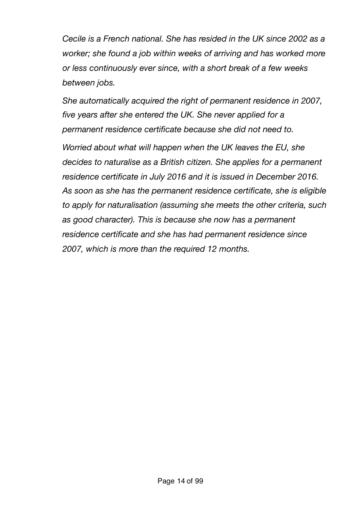*Cecile is a French national. She has resided in the UK since 2002 as a worker; she found a job within weeks of arriving and has worked more or less continuously ever since, with a short break of a few weeks between jobs.* 

*She automatically acquired the right of permanent residence in 2007, five years after she entered the UK. She never applied for a permanent residence certificate because she did not need to.* 

*Worried about what will happen when the UK leaves the EU, she decides to naturalise as a British citizen. She applies for a permanent residence certificate in July 2016 and it is issued in December 2016. As soon as she has the permanent residence certificate, she is eligible to apply for naturalisation (assuming she meets the other criteria, such as good character). This is because she now has a permanent residence certificate and she has had permanent residence since 2007, which is more than the required 12 months.*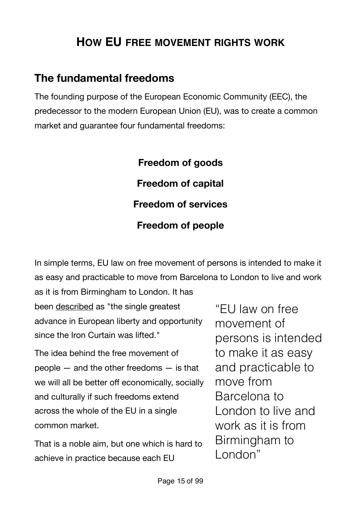# <span id="page-14-0"></span>**HOW EU FREE MOVEMENT RIGHTS WORK**

## <span id="page-14-1"></span>**The fundamental freedoms**

The founding purpose of the European Economic Community (EEC), the predecessor to the modern European Union (EU), was to create a common market and guarantee four fundamental freedoms:

> **Freedom of goods Freedom of capital Freedom of services Freedom of people**

In simple terms, EU law on free movement of persons is intended to make it as easy and practicable to move from Barcelona to London to live and work

as it is from Birmingham to London. It has been [described](http://blogs.spectator.co.uk/coffeehouse/2014/07/britain-has-very-little-to-fear-from-the-echr-so-why-are-so-many-tories-so-afraid-of-it/) as "the single greatest advance in European liberty and opportunity since the Iron Curtain was lifted."

The idea behind the free movement of people — and the other freedoms — is that we will all be better off economically, socially and culturally if such freedoms extend across the whole of the EU in a single common market.

That is a noble aim, but one which is hard to achieve in practice because each EU

"EU law on free movement of persons is intended to make it as easy and practicable to move from Barcelona to London to live and work as it is from Birmingham to London"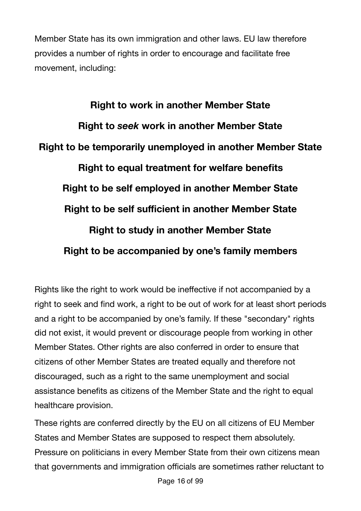Member State has its own immigration and other laws. EU law therefore provides a number of rights in order to encourage and facilitate free movement, including:

**Right to work in another Member State Right to** *seek* **work in another Member State Right to be temporarily unemployed in another Member State Right to equal treatment for welfare benefits Right to be self employed in another Member State Right to be self sufficient in another Member State Right to study in another Member State Right to be accompanied by one's family members** 

Rights like the right to work would be ineffective if not accompanied by a right to seek and find work, a right to be out of work for at least short periods and a right to be accompanied by one's family. If these "secondary" rights did not exist, it would prevent or discourage people from working in other Member States. Other rights are also conferred in order to ensure that citizens of other Member States are treated equally and therefore not discouraged, such as a right to the same unemployment and social assistance benefits as citizens of the Member State and the right to equal healthcare provision.

These rights are conferred directly by the EU on all citizens of EU Member States and Member States are supposed to respect them absolutely. Pressure on politicians in every Member State from their own citizens mean that governments and immigration officials are sometimes rather reluctant to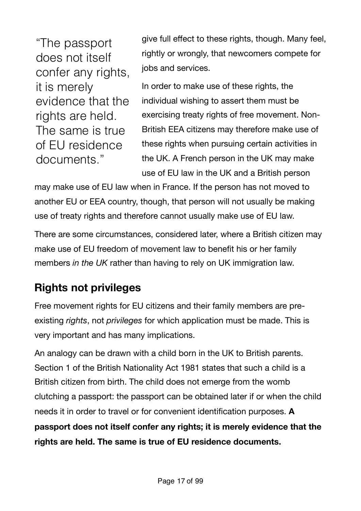"The passport does not itself confer any rights, it is merely evidence that the rights are held. The same is true of EU residence documents."

give full effect to these rights, though. Many feel, rightly or wrongly, that newcomers compete for jobs and services.

In order to make use of these rights, the individual wishing to assert them must be exercising treaty rights of free movement. Non-British EEA citizens may therefore make use of these rights when pursuing certain activities in the UK. A French person in the UK may make use of EU law in the UK and a British person

may make use of EU law when in France. If the person has not moved to another EU or EEA country, though, that person will not usually be making use of treaty rights and therefore cannot usually make use of EU law.

There are some circumstances, considered later, where a British citizen may make use of EU freedom of movement law to benefit his or her family members *in the UK* rather than having to rely on UK immigration law.

# <span id="page-16-0"></span>**Rights not privileges**

Free movement rights for EU citizens and their family members are preexisting *rights*, not *privileges* for which application must be made. This is very important and has many implications.

An analogy can be drawn with a child born in the UK to British parents. Section 1 of the British Nationality Act 1981 states that such a child is a British citizen from birth. The child does not emerge from the womb clutching a passport: the passport can be obtained later if or when the child needs it in order to travel or for convenient identification purposes. **A passport does not itself confer any rights; it is merely evidence that the rights are held. The same is true of EU residence documents.**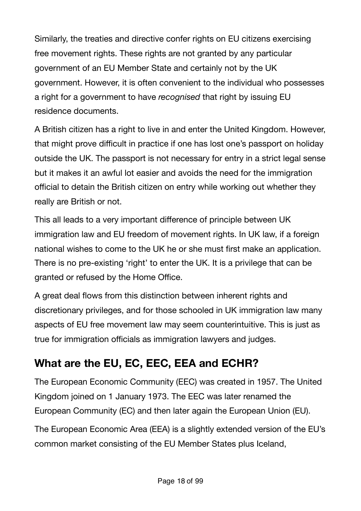Similarly, the treaties and directive confer rights on EU citizens exercising free movement rights. These rights are not granted by any particular government of an EU Member State and certainly not by the UK government. However, it is often convenient to the individual who possesses a right for a government to have *recognised* that right by issuing EU residence documents.

A British citizen has a right to live in and enter the United Kingdom. However, that might prove difficult in practice if one has lost one's passport on holiday outside the UK. The passport is not necessary for entry in a strict legal sense but it makes it an awful lot easier and avoids the need for the immigration official to detain the British citizen on entry while working out whether they really are British or not.

This all leads to a very important difference of principle between UK immigration law and EU freedom of movement rights. In UK law, if a foreign national wishes to come to the UK he or she must first make an application. There is no pre-existing 'right' to enter the UK. It is a privilege that can be granted or refused by the Home Office.

A great deal flows from this distinction between inherent rights and discretionary privileges, and for those schooled in UK immigration law many aspects of EU free movement law may seem counterintuitive. This is just as true for immigration officials as immigration lawyers and judges.

# <span id="page-17-0"></span>**What are the EU, EC, EEC, EEA and ECHR?**

The European Economic Community (EEC) was created in 1957. The United Kingdom joined on 1 January 1973. The EEC was later renamed the European Community (EC) and then later again the European Union (EU).

The European Economic Area (EEA) is a slightly extended version of the EU's common market consisting of the EU Member States plus Iceland,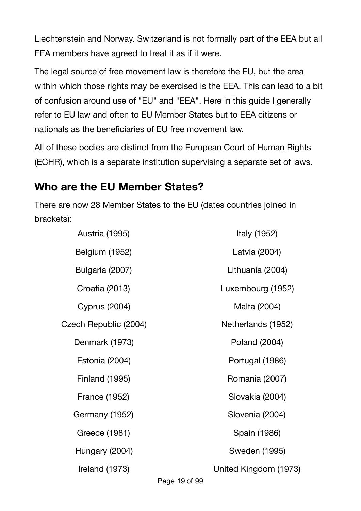Liechtenstein and Norway. Switzerland is not formally part of the EEA but all EEA members have agreed to treat it as if it were.

The legal source of free movement law is therefore the EU, but the area within which those rights may be exercised is the EEA. This can lead to a bit of confusion around use of "EU" and "EEA". Here in this guide I generally refer to EU law and often to EU Member States but to EEA citizens or nationals as the beneficiaries of EU free movement law.

All of these bodies are distinct from the European Court of Human Rights (ECHR), which is a separate institution supervising a separate set of laws.

# <span id="page-18-0"></span>**Who are the EU Member States?**

There are now 28 Member States to the EU (dates countries joined in brackets):

| <b>Austria (1995)</b> | Italy (1952)          |
|-----------------------|-----------------------|
| <b>Belgium (1952)</b> | Latvia (2004)         |
| Bulgaria (2007)       | Lithuania (2004)      |
| Croatia (2013)        | Luxembourg (1952)     |
| <b>Cyprus (2004)</b>  | Malta (2004)          |
| Czech Republic (2004) | Netherlands (1952)    |
| Denmark (1973)        | Poland (2004)         |
| Estonia (2004)        | Portugal (1986)       |
| <b>Finland (1995)</b> | Romania (2007)        |
| <b>France (1952)</b>  | Slovakia (2004)       |
| Germany (1952)        | Slovenia (2004)       |
| Greece (1981)         | Spain (1986)          |
| Hungary (2004)        | Sweden (1995)         |
| Ireland (1973)        | United Kingdom (1973) |

Page 19 of 99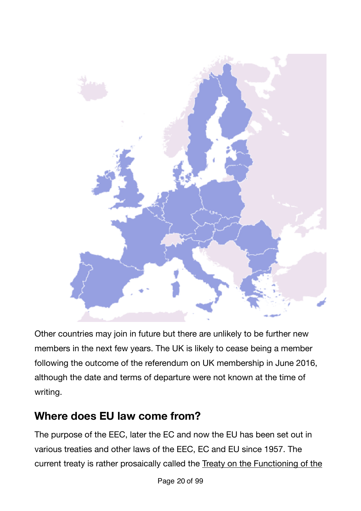

Other countries may join in future but there are unlikely to be further new members in the next few years. The UK is likely to cease being a member following the outcome of the referendum on UK membership in June 2016, although the date and terms of departure were not known at the time of writing.

# <span id="page-19-0"></span>**Where does EU law come from?**

The purpose of the EEC, later the EC and now the EU has been set out in various treaties and other laws of the EEC, EC and EU since 1957. The current treaty is rather prosaically called the [Treaty on the Functioning of the](http://eur-lex.europa.eu/legal-content/EN/TXT/?uri=celex:12012E/TXT)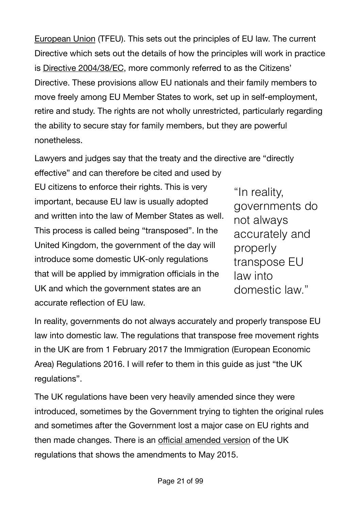[European Union](http://eur-lex.europa.eu/legal-content/EN/TXT/?uri=celex:12012E/TXT) (TFEU). This sets out the principles of EU law. The current Directive which sets out the details of how the principles will work in practice is [Directive 2004/38/EC](http://eur-lex.europa.eu/LexUriServ/LexUriServ.do?uri=OJ:L:2004:158:0077:0123:en:PDF), more commonly referred to as the Citizens' Directive. These provisions allow EU nationals and their family members to move freely among EU Member States to work, set up in self-employment, retire and study. The rights are not wholly unrestricted, particularly regarding the ability to secure stay for family members, but they are powerful nonetheless.

Lawyers and judges say that the treaty and the directive are "directly

effective" and can therefore be cited and used by EU citizens to enforce their rights. This is very important, because EU law is usually adopted and written into the law of Member States as well. This process is called being "transposed". In the United Kingdom, the government of the day will introduce some domestic UK-only regulations that will be applied by immigration officials in the UK and which the government states are an accurate reflection of EU law.

"In reality, governments do not always accurately and properly transpose EU law into domestic law."

In reality, governments do not always accurately and properly transpose EU law into domestic law. The regulations that transpose free movement rights in the UK are from 1 February 2017 the Immigration (European Economic Area) Regulations 2016. I will refer to them in this guide as just "the UK regulations".

The UK regulations have been very heavily amended since they were introduced, sometimes by the Government trying to tighten the original rules and sometimes after the Government lost a major case on EU rights and then made changes. There is an offi[cial amended version](http://www.legislation.gov.uk/uksi/2006/1003) of the UK regulations that shows the amendments to May 2015.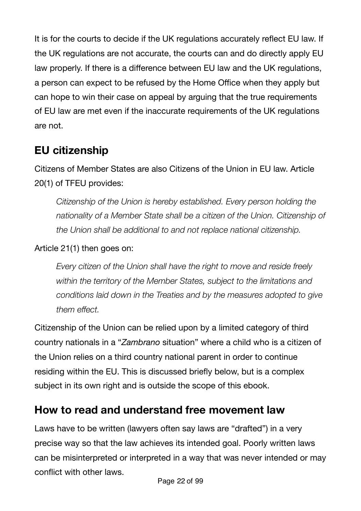It is for the courts to decide if the UK regulations accurately reflect EU law. If the UK regulations are not accurate, the courts can and do directly apply EU law properly. If there is a difference between EU law and the UK regulations, a person can expect to be refused by the Home Office when they apply but can hope to win their case on appeal by arguing that the true requirements of EU law are met even if the inaccurate requirements of the UK regulations are not.

# <span id="page-21-0"></span>**EU citizenship**

Citizens of Member States are also Citizens of the Union in EU law. Article 20(1) of TFEU provides:

*Citizenship of the Union is hereby established. Every person holding the nationality of a Member State shall be a citizen of the Union. Citizenship of the Union shall be additional to and not replace national citizenship.*

#### Article 21(1) then goes on:

*Every citizen of the Union shall have the right to move and reside freely within the territory of the Member States, subject to the limitations and conditions laid down in the Treaties and by the measures adopted to give them effect.*

Citizenship of the Union can be relied upon by a limited category of third country nationals in a "*Zambrano* situation" where a child who is a citizen of the Union relies on a third country national parent in order to continue residing within the EU. This is discussed briefly below, but is a complex subject in its own right and is outside the scope of this ebook.

## <span id="page-21-1"></span>**How to read and understand free movement law**

Laws have to be written (lawyers often say laws are "drafted") in a very precise way so that the law achieves its intended goal. Poorly written laws can be misinterpreted or interpreted in a way that was never intended or may conflict with other laws.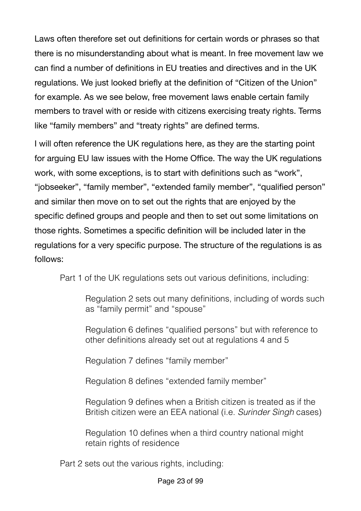Laws often therefore set out definitions for certain words or phrases so that there is no misunderstanding about what is meant. In free movement law we can find a number of definitions in EU treaties and directives and in the UK regulations. We just looked briefly at the definition of "Citizen of the Union" for example. As we see below, free movement laws enable certain family members to travel with or reside with citizens exercising treaty rights. Terms like "family members" and "treaty rights" are defined terms.

I will often reference the UK regulations here, as they are the starting point for arguing EU law issues with the Home Office. The way the UK regulations work, with some exceptions, is to start with definitions such as "work", "jobseeker", "family member", "extended family member", "qualified person" and similar then move on to set out the rights that are enjoyed by the specific defined groups and people and then to set out some limitations on those rights. Sometimes a specific definition will be included later in the regulations for a very specific purpose. The structure of the regulations is as follows:

Part 1 of the UK regulations sets out various definitions, including:

Regulation 2 sets out many definitions, including of words such as "family permit" and "spouse"

Regulation 6 defines "qualified persons" but with reference to other definitions already set out at regulations 4 and 5

Regulation 7 defines "family member"

Regulation 8 defines "extended family member"

Regulation 9 defines when a British citizen is treated as if the British citizen were an EEA national (i.e. *Surinder Singh* cases)

Regulation 10 defines when a third country national might retain rights of residence

Part 2 sets out the various rights, including: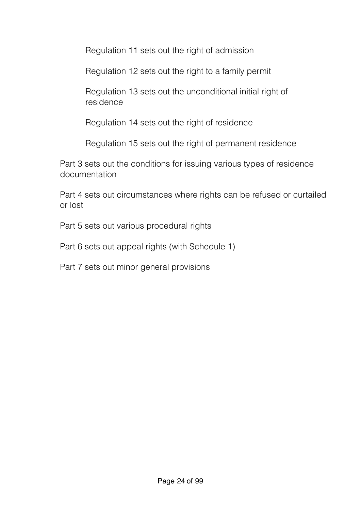Regulation 11 sets out the right of admission

Regulation 12 sets out the right to a family permit

Regulation 13 sets out the unconditional initial right of residence

Regulation 14 sets out the right of residence

Regulation 15 sets out the right of permanent residence

Part 3 sets out the conditions for issuing various types of residence documentation

Part 4 sets out circumstances where rights can be refused or curtailed or lost

Part 5 sets out various procedural rights

Part 6 sets out appeal rights (with Schedule 1)

Part 7 sets out minor general provisions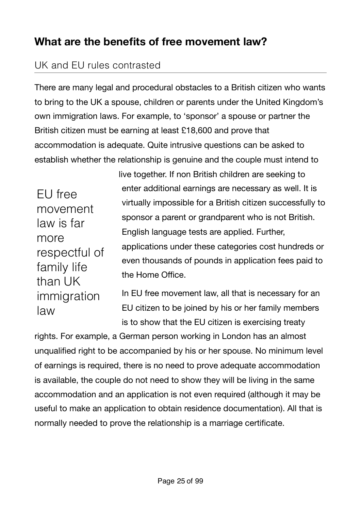## <span id="page-24-0"></span>**What are the benefits of free movement law?**

## <span id="page-24-1"></span>UK and EU rules contrasted

There are many legal and procedural obstacles to a British citizen who wants to bring to the UK a spouse, children or parents under the United Kingdom's own immigration laws. For example, to 'sponsor' a spouse or partner the British citizen must be earning at least £18,600 and prove that accommodation is adequate. Quite intrusive questions can be asked to establish whether the relationship is genuine and the couple must intend to

EU free movement law is far more respectful of family life than UK immigration law

live together. If non British children are seeking to enter additional earnings are necessary as well. It is virtually impossible for a British citizen successfully to sponsor a parent or grandparent who is not British. English language tests are applied. Further, applications under these categories cost hundreds or even thousands of pounds in application fees paid to the Home Office.

In EU free movement law, all that is necessary for an EU citizen to be joined by his or her family members is to show that the EU citizen is exercising treaty

rights. For example, a German person working in London has an almost unqualified right to be accompanied by his or her spouse. No minimum level of earnings is required, there is no need to prove adequate accommodation is available, the couple do not need to show they will be living in the same accommodation and an application is not even required (although it may be useful to make an application to obtain residence documentation). All that is normally needed to prove the relationship is a marriage certificate.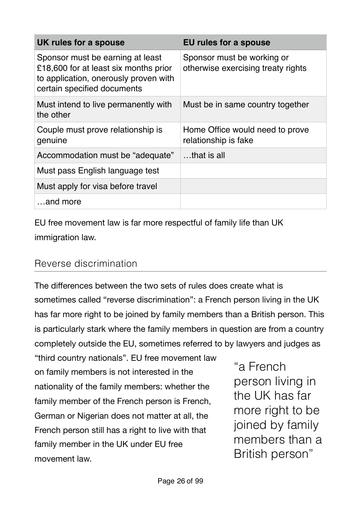| UK rules for a spouse                                                                                                                             | EU rules for a spouse                                            |
|---------------------------------------------------------------------------------------------------------------------------------------------------|------------------------------------------------------------------|
| Sponsor must be earning at least<br>£18,600 for at least six months prior<br>to application, onerously proven with<br>certain specified documents | Sponsor must be working or<br>otherwise exercising treaty rights |
| Must intend to live permanently with<br>the other                                                                                                 | Must be in same country together                                 |
| Couple must prove relationship is<br>genuine                                                                                                      | Home Office would need to prove<br>relationship is fake          |
| Accommodation must be "adequate"                                                                                                                  | that is all                                                      |
| Must pass English language test                                                                                                                   |                                                                  |
| Must apply for visa before travel                                                                                                                 |                                                                  |
| and more                                                                                                                                          |                                                                  |

EU free movement law is far more respectful of family life than UK immigration law.

#### <span id="page-25-0"></span>Reverse discrimination

The differences between the two sets of rules does create what is sometimes called "reverse discrimination": a French person living in the UK has far more right to be joined by family members than a British person. This is particularly stark where the family members in question are from a country completely outside the EU, sometimes referred to by lawyers and judges as

"third country nationals". EU free movement law on family members is not interested in the nationality of the family members: whether the family member of the French person is French, German or Nigerian does not matter at all, the French person still has a right to live with that family member in the UK under EU free movement law.

"a French person living in the UK has far more right to be joined by family members than a British person"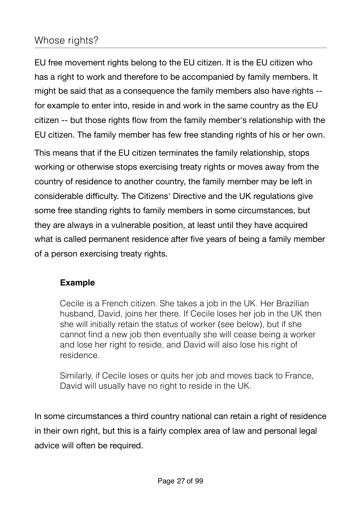## <span id="page-26-0"></span>Whose rights?

EU free movement rights belong to the EU citizen. It is the EU citizen who has a right to work and therefore to be accompanied by family members. It might be said that as a consequence the family members also have rights - for example to enter into, reside in and work in the same country as the EU citizen -- but those rights flow from the family member's relationship with the EU citizen. The family member has few free standing rights of his or her own.

This means that if the EU citizen terminates the family relationship, stops working or otherwise stops exercising treaty rights or moves away from the country of residence to another country, the family member may be left in considerable difficulty. The Citizens' Directive and the UK regulations give some free standing rights to family members in some circumstances, but they are always in a vulnerable position, at least until they have acquired what is called permanent residence after five years of being a family member of a person exercising treaty rights.

#### **Example**

Cecile is a French citizen. She takes a job in the UK. Her Brazilian husband, David, joins her there. If Cecile loses her job in the UK then she will initially retain the status of worker (see below), but if she cannot find a new job then eventually she will cease being a worker and lose her right to reside, and David will also lose his right of residence.

Similarly, if Cecile loses or quits her job and moves back to France, David will usually have no right to reside in the UK.

In some circumstances a third country national can retain a right of residence in their own right, but this is a fairly complex area of law and personal legal advice will often be required.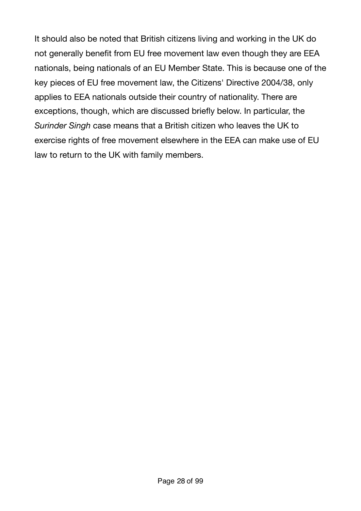It should also be noted that British citizens living and working in the UK do not generally benefit from EU free movement law even though they are EEA nationals, being nationals of an EU Member State. This is because one of the key pieces of EU free movement law, the Citizens' Directive 2004/38, only applies to EEA nationals outside their country of nationality. There are exceptions, though, which are discussed briefly below. In particular, the *Surinder Singh* case means that a British citizen who leaves the UK to exercise rights of free movement elsewhere in the EEA can make use of EU law to return to the UK with family members.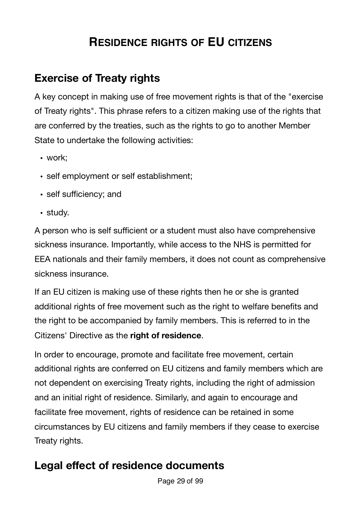# <span id="page-28-0"></span>**RESIDENCE RIGHTS OF EU CITIZENS**

# <span id="page-28-1"></span>**Exercise of Treaty rights**

A key concept in making use of free movement rights is that of the "exercise of Treaty rights". This phrase refers to a citizen making use of the rights that are conferred by the treaties, such as the rights to go to another Member State to undertake the following activities:

- work;
- self employment or self establishment;
- self sufficiency; and
- study.

A person who is self sufficient or a student must also have comprehensive sickness insurance. Importantly, while access to the NHS is permitted for EEA nationals and their family members, it does not count as comprehensive sickness insurance.

If an EU citizen is making use of these rights then he or she is granted additional rights of free movement such as the right to welfare benefits and the right to be accompanied by family members. This is referred to in the Citizens' Directive as the **right of residence**.

In order to encourage, promote and facilitate free movement, certain additional rights are conferred on EU citizens and family members which are not dependent on exercising Treaty rights, including the right of admission and an initial right of residence. Similarly, and again to encourage and facilitate free movement, rights of residence can be retained in some circumstances by EU citizens and family members if they cease to exercise Treaty rights.

# <span id="page-28-2"></span>**Legal effect of residence documents**

Page 29 of 99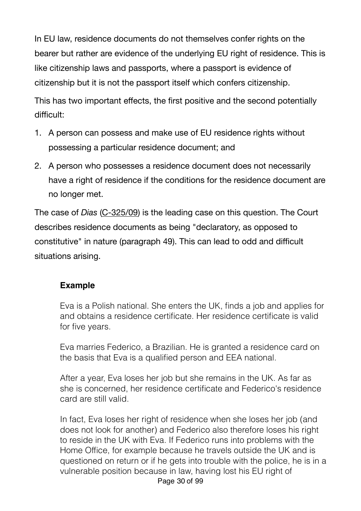In EU law, residence documents do not themselves confer rights on the bearer but rather are evidence of the underlying EU right of residence. This is like citizenship laws and passports, where a passport is evidence of citizenship but it is not the passport itself which confers citizenship.

This has two important effects, the first positive and the second potentially difficult:

- 1. A person can possess and make use of EU residence rights without possessing a particular residence document; and
- 2. A person who possesses a residence document does not necessarily have a right of residence if the conditions for the residence document are no longer met.

The case of *Dias* [\(C-325/09](http://eur-lex.europa.eu/LexUriServ/LexUriServ.do?uri=CELEX:62009CJ0325:EN:HTML)) is the leading case on this question. The Court describes residence documents as being "declaratory, as opposed to constitutive" in nature (paragraph 49). This can lead to odd and difficult situations arising.

#### **Example**

Eva is a Polish national. She enters the UK, finds a job and applies for and obtains a residence certificate. Her residence certificate is valid for five years.

Eva marries Federico, a Brazilian. He is granted a residence card on the basis that Eva is a qualified person and EEA national.

After a year, Eva loses her job but she remains in the UK. As far as she is concerned, her residence certificate and Federico's residence card are still valid.

In fact, Eva loses her right of residence when she loses her job (and does not look for another) and Federico also therefore loses his right to reside in the UK with Eva. If Federico runs into problems with the Home Office, for example because he travels outside the UK and is questioned on return or if he gets into trouble with the police, he is in a vulnerable position because in law, having lost his EU right of Page 30 of 99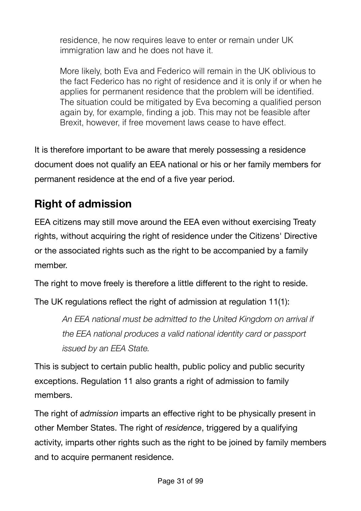residence, he now requires leave to enter or remain under UK immigration law and he does not have it.

More likely, both Eva and Federico will remain in the UK oblivious to the fact Federico has no right of residence and it is only if or when he applies for permanent residence that the problem will be identified. The situation could be mitigated by Eva becoming a qualified person again by, for example, finding a job. This may not be feasible after Brexit, however, if free movement laws cease to have effect.

It is therefore important to be aware that merely possessing a residence document does not qualify an EEA national or his or her family members for permanent residence at the end of a five year period.

# <span id="page-30-0"></span>**Right of admission**

EEA citizens may still move around the EEA even without exercising Treaty rights, without acquiring the right of residence under the Citizens' Directive or the associated rights such as the right to be accompanied by a family member.

The right to move freely is therefore a little different to the right to reside.

The UK regulations reflect the right of admission at regulation 11(1):

*An EEA national must be admitted to the United Kingdom on arrival if the EEA national produces a valid national identity card or passport issued by an EEA State.*

This is subject to certain public health, public policy and public security exceptions. Regulation 11 also grants a right of admission to family members.

The right of *admission* imparts an effective right to be physically present in other Member States. The right of *residence*, triggered by a qualifying activity, imparts other rights such as the right to be joined by family members and to acquire permanent residence.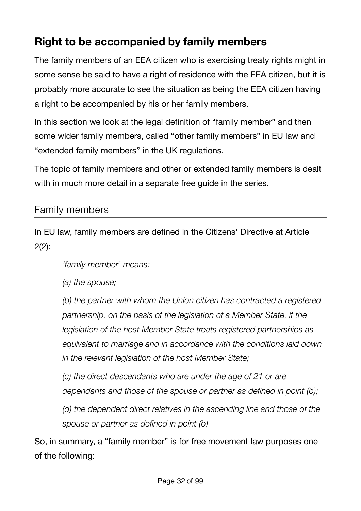# <span id="page-31-0"></span>**Right to be accompanied by family members**

The family members of an EEA citizen who is exercising treaty rights might in some sense be said to have a right of residence with the EEA citizen, but it is probably more accurate to see the situation as being the EEA citizen having a right to be accompanied by his or her family members.

In this section we look at the legal definition of "family member" and then some wider family members, called "other family members" in EU law and "extended family members" in the UK regulations.

The topic of family members and other or extended family members is dealt with in much more detail in a separate free quide in the series.

### <span id="page-31-1"></span>Family members

In EU law, family members are defined in the Citizens' Directive at Article  $2(2)$ :

*'family member' means:* 

*(a) the spouse;* 

*(b) the partner with whom the Union citizen has contracted a registered partnership, on the basis of the legislation of a Member State, if the legislation of the host Member State treats registered partnerships as equivalent to marriage and in accordance with the conditions laid down in the relevant legislation of the host Member State;* 

*(c) the direct descendants who are under the age of 21 or are dependants and those of the spouse or partner as defined in point (b);* 

*(d) the dependent direct relatives in the ascending line and those of the spouse or partner as defined in point (b)*

So, in summary, a "family member" is for free movement law purposes one of the following: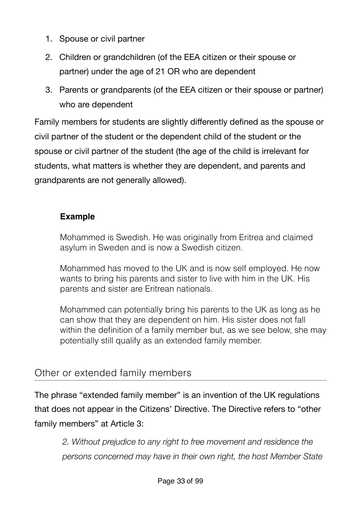- 1. Spouse or civil partner
- 2. Children or grandchildren (of the EEA citizen or their spouse or partner) under the age of 21 OR who are dependent
- 3. Parents or grandparents (of the EEA citizen or their spouse or partner) who are dependent

Family members for students are slightly differently defined as the spouse or civil partner of the student or the dependent child of the student or the spouse or civil partner of the student (the age of the child is irrelevant for students, what matters is whether they are dependent, and parents and grandparents are not generally allowed).

#### **Example**

Mohammed is Swedish. He was originally from Eritrea and claimed asylum in Sweden and is now a Swedish citizen.

Mohammed has moved to the UK and is now self employed. He now wants to bring his parents and sister to live with him in the UK. His parents and sister are Eritrean nationals.

Mohammed can potentially bring his parents to the UK as long as he can show that they are dependent on him. His sister does not fall within the definition of a family member but, as we see below, she may potentially still qualify as an extended family member.

## <span id="page-32-0"></span>Other or extended family members

The phrase "extended family member" is an invention of the UK regulations that does not appear in the Citizens' Directive. The Directive refers to "other family members" at Article 3:

*2. Without prejudice to any right to free movement and residence the persons concerned may have in their own right, the host Member State*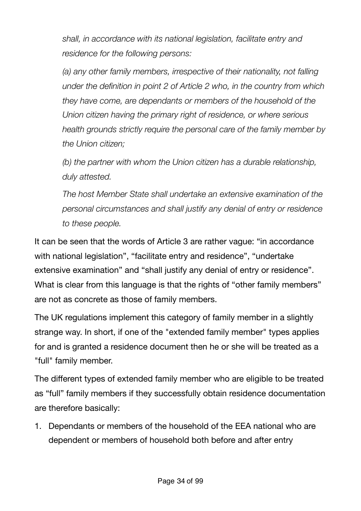*shall, in accordance with its national legislation, facilitate entry and residence for the following persons:* 

*(a) any other family members, irrespective of their nationality, not falling under the definition in point 2 of Article 2 who, in the country from which they have come, are dependants or members of the household of the Union citizen having the primary right of residence, or where serious health grounds strictly require the personal care of the family member by the Union citizen;* 

*(b) the partner with whom the Union citizen has a durable relationship, duly attested.* 

*The host Member State shall undertake an extensive examination of the personal circumstances and shall justify any denial of entry or residence to these people.*

It can be seen that the words of Article 3 are rather vague: "in accordance with national legislation", "facilitate entry and residence", "undertake extensive examination" and "shall justify any denial of entry or residence". What is clear from this language is that the rights of "other family members" are not as concrete as those of family members.

The UK regulations implement this category of family member in a slightly strange way. In short, if one of the "extended family member" types applies for and is granted a residence document then he or she will be treated as a "full" family member.

The different types of extended family member who are eligible to be treated as "full" family members if they successfully obtain residence documentation are therefore basically:

1. Dependants or members of the household of the EEA national who are dependent or members of household both before and after entry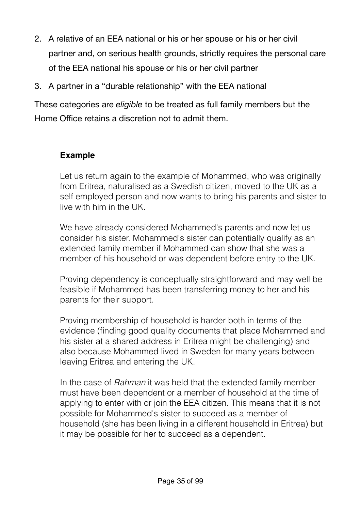- 2. A relative of an EEA national or his or her spouse or his or her civil partner and, on serious health grounds, strictly requires the personal care of the EEA national his spouse or his or her civil partner
- 3. A partner in a "durable relationship" with the EEA national

These categories are *eligible* to be treated as full family members but the Home Office retains a discretion not to admit them.

#### **Example**

Let us return again to the example of Mohammed, who was originally from Eritrea, naturalised as a Swedish citizen, moved to the UK as a self employed person and now wants to bring his parents and sister to live with him in the UK.

We have already considered Mohammed's parents and now let us consider his sister. Mohammed's sister can potentially qualify as an extended family member if Mohammed can show that she was a member of his household or was dependent before entry to the UK.

Proving dependency is conceptually straightforward and may well be feasible if Mohammed has been transferring money to her and his parents for their support.

Proving membership of household is harder both in terms of the evidence (finding good quality documents that place Mohammed and his sister at a shared address in Eritrea might be challenging) and also because Mohammed lived in Sweden for many years between leaving Eritrea and entering the UK.

In the case of *Rahman* it was held that the extended family member must have been dependent or a member of household at the time of applying to enter with or join the EEA citizen. This means that it is not possible for Mohammed's sister to succeed as a member of household (she has been living in a different household in Eritrea) but it may be possible for her to succeed as a dependent.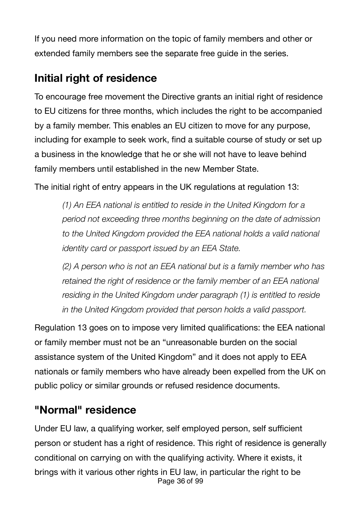If you need more information on the topic of family members and other or extended family members see the separate free guide in the series.

# <span id="page-35-0"></span>**Initial right of residence**

To encourage free movement the Directive grants an initial right of residence to EU citizens for three months, which includes the right to be accompanied by a family member. This enables an EU citizen to move for any purpose, including for example to seek work, find a suitable course of study or set up a business in the knowledge that he or she will not have to leave behind family members until established in the new Member State.

The initial right of entry appears in the UK regulations at regulation 13:

*(1) An EEA national is entitled to reside in the United Kingdom for a period not exceeding three months beginning on the date of admission to the United Kingdom provided the EEA national holds a valid national identity card or passport issued by an EEA State.* 

*(2) A person who is not an EEA national but is a family member who has retained the right of residence or the family member of an EEA national residing in the United Kingdom under paragraph (1) is entitled to reside in the United Kingdom provided that person holds a valid passport.* 

Regulation 13 goes on to impose very limited qualifications: the EEA national or family member must not be an "unreasonable burden on the social assistance system of the United Kingdom" and it does not apply to EEA nationals or family members who have already been expelled from the UK on public policy or similar grounds or refused residence documents.

# <span id="page-35-1"></span>**"Normal" residence**

Under EU law, a qualifying worker, self employed person, self sufficient person or student has a right of residence. This right of residence is generally conditional on carrying on with the qualifying activity. Where it exists, it brings with it various other rights in EU law, in particular the right to be Page 36 of 99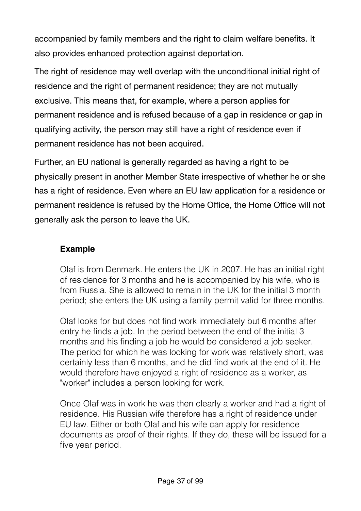accompanied by family members and the right to claim welfare benefits. It also provides enhanced protection against deportation.

The right of residence may well overlap with the unconditional initial right of residence and the right of permanent residence; they are not mutually exclusive. This means that, for example, where a person applies for permanent residence and is refused because of a gap in residence or gap in qualifying activity, the person may still have a right of residence even if permanent residence has not been acquired.

Further, an EU national is generally regarded as having a right to be physically present in another Member State irrespective of whether he or she has a right of residence. Even where an EU law application for a residence or permanent residence is refused by the Home Office, the Home Office will not generally ask the person to leave the UK.

#### **Example**

Olaf is from Denmark. He enters the UK in 2007. He has an initial right of residence for 3 months and he is accompanied by his wife, who is from Russia. She is allowed to remain in the UK for the initial 3 month period; she enters the UK using a family permit valid for three months.

Olaf looks for but does not find work immediately but 6 months after entry he finds a job. In the period between the end of the initial 3 months and his finding a job he would be considered a job seeker. The period for which he was looking for work was relatively short, was certainly less than 6 months, and he did find work at the end of it. He would therefore have enjoyed a right of residence as a worker, as "worker" includes a person looking for work.

Once Olaf was in work he was then clearly a worker and had a right of residence. His Russian wife therefore has a right of residence under EU law. Either or both Olaf and his wife can apply for residence documents as proof of their rights. If they do, these will be issued for a five year period.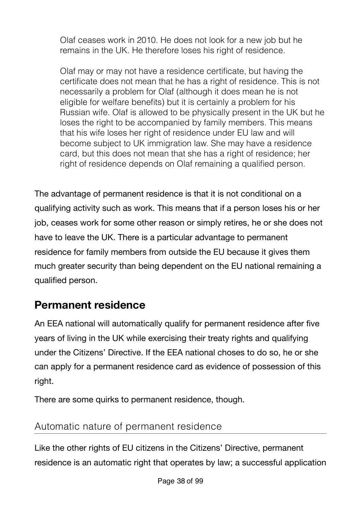Olaf ceases work in 2010. He does not look for a new job but he remains in the UK. He therefore loses his right of residence.

Olaf may or may not have a residence certificate, but having the certificate does not mean that he has a right of residence. This is not necessarily a problem for Olaf (although it does mean he is not eligible for welfare benefits) but it is certainly a problem for his Russian wife. Olaf is allowed to be physically present in the UK but he loses the right to be accompanied by family members. This means that his wife loses her right of residence under EU law and will become subject to UK immigration law. She may have a residence card, but this does not mean that she has a right of residence; her right of residence depends on Olaf remaining a qualified person.

The advantage of permanent residence is that it is not conditional on a qualifying activity such as work. This means that if a person loses his or her job, ceases work for some other reason or simply retires, he or she does not have to leave the UK. There is a particular advantage to permanent residence for family members from outside the EU because it gives them much greater security than being dependent on the EU national remaining a qualified person.

## **Permanent residence**

An EEA national will automatically qualify for permanent residence after five years of living in the UK while exercising their treaty rights and qualifying under the Citizens' Directive. If the EEA national choses to do so, he or she can apply for a permanent residence card as evidence of possession of this right.

There are some quirks to permanent residence, though.

## Automatic nature of permanent residence

Like the other rights of EU citizens in the Citizens' Directive, permanent residence is an automatic right that operates by law; a successful application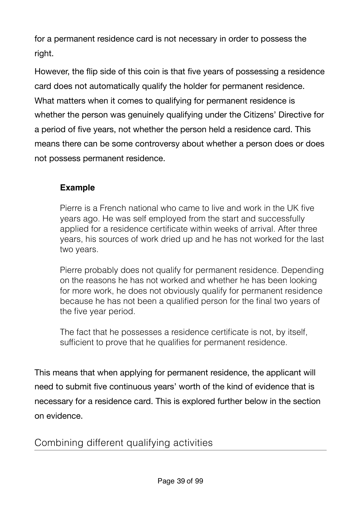for a permanent residence card is not necessary in order to possess the right.

However, the flip side of this coin is that five years of possessing a residence card does not automatically qualify the holder for permanent residence. What matters when it comes to qualifying for permanent residence is whether the person was genuinely qualifying under the Citizens' Directive for a period of five years, not whether the person held a residence card. This means there can be some controversy about whether a person does or does not possess permanent residence.

### **Example**

Pierre is a French national who came to live and work in the UK five years ago. He was self employed from the start and successfully applied for a residence certificate within weeks of arrival. After three years, his sources of work dried up and he has not worked for the last two years.

Pierre probably does not qualify for permanent residence. Depending on the reasons he has not worked and whether he has been looking for more work, he does not obviously qualify for permanent residence because he has not been a qualified person for the final two years of the five year period.

The fact that he possesses a residence certificate is not, by itself, sufficient to prove that he qualifies for permanent residence.

This means that when applying for permanent residence, the applicant will need to submit five continuous years' worth of the kind of evidence that is necessary for a residence card. This is explored further below in the section on evidence.

### Combining different qualifying activities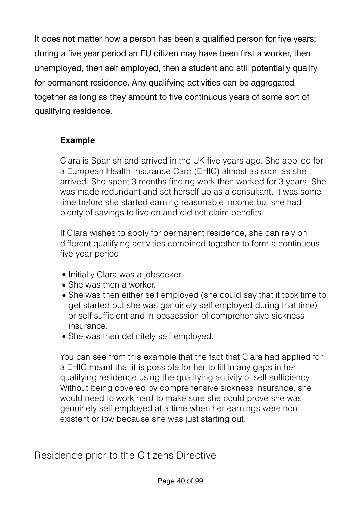It does not matter how a person has been a qualified person for five years; during a five year period an EU citizen may have been first a worker, then unemployed, then self employed, then a student and still potentially qualify for permanent residence. Any qualifying activities can be aggregated together as long as they amount to five continuous years of some sort of qualifying residence.

### **Example**

Clara is Spanish and arrived in the UK five years ago. She applied for a European Health Insurance Card (EHIC) almost as soon as she arrived. She spent 3 months finding work then worked for 3 years. She was made redundant and set herself up as a consultant. It was some time before she started earning reasonable income but she had plenty of savings to live on and did not claim benefits.

If Clara wishes to apply for permanent residence, she can rely on different qualifying activities combined together to form a continuous five year period:

- Initially Clara was a jobseeker.
- She was then a worker.
- She was then either self employed (she could say that it took time to get started but she was genuinely self employed during that time) or self sufficient and in possession of comprehensive sickness insurance.
- She was then definitely self employed.

You can see from this example that the fact that Clara had applied for a EHIC meant that it is possible for her to fill in any gaps in her qualifying residence using the qualifying activity of self sufficiency. Without being covered by comprehensive sickness insurance, she would need to work hard to make sure she could prove she was genuinely self employed at a time when her earnings were non existent or low because she was just starting out.

### Residence prior to the Citizens Directive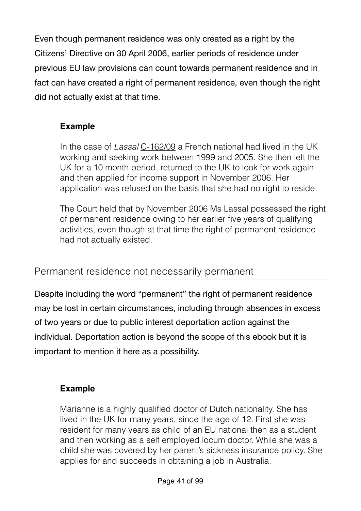Even though permanent residence was only created as a right by the Citizens' Directive on 30 April 2006, earlier periods of residence under previous EU law provisions can count towards permanent residence and in fact can have created a right of permanent residence, even though the right did not actually exist at that time.

### **Example**

In the case of *Lassal* [C-162/09](http://www.bailii.org/eu/cases/EUECJ/2010/C16209.html) a French national had lived in the UK working and seeking work between 1999 and 2005. She then left the UK for a 10 month period, returned to the UK to look for work again and then applied for income support in November 2006. Her application was refused on the basis that she had no right to reside.

The Court held that by November 2006 Ms Lassal possessed the right of permanent residence owing to her earlier five years of qualifying activities, even though at that time the right of permanent residence had not actually existed.

### Permanent residence not necessarily permanent

Despite including the word "permanent" the right of permanent residence may be lost in certain circumstances, including through absences in excess of two years or due to public interest deportation action against the individual. Deportation action is beyond the scope of this ebook but it is important to mention it here as a possibility.

### **Example**

Marianne is a highly qualified doctor of Dutch nationality. She has lived in the UK for many years, since the age of 12. First she was resident for many years as child of an EU national then as a student and then working as a self employed locum doctor. While she was a child she was covered by her parent's sickness insurance policy. She applies for and succeeds in obtaining a job in Australia.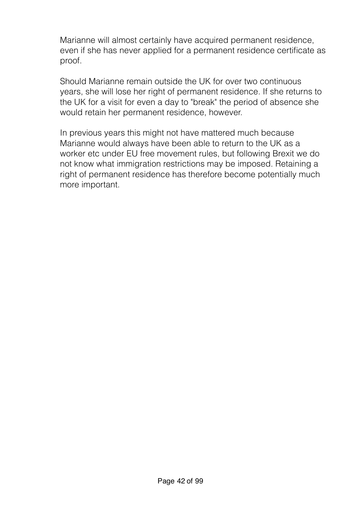Marianne will almost certainly have acquired permanent residence, even if she has never applied for a permanent residence certificate as proof.

Should Marianne remain outside the UK for over two continuous years, she will lose her right of permanent residence. If she returns to the UK for a visit for even a day to "break" the period of absence she would retain her permanent residence, however.

In previous years this might not have mattered much because Marianne would always have been able to return to the UK as a worker etc under EU free movement rules, but following Brexit we do not know what immigration restrictions may be imposed. Retaining a right of permanent residence has therefore become potentially much more important.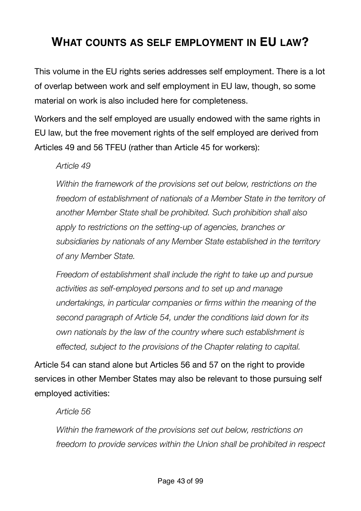## **WHAT COUNTS AS SELF EMPLOYMENT IN EU LAW?**

This volume in the EU rights series addresses self employment. There is a lot of overlap between work and self employment in EU law, though, so some material on work is also included here for completeness.

Workers and the self employed are usually endowed with the same rights in EU law, but the free movement rights of the self employed are derived from Articles 49 and 56 TFEU (rather than Article 45 for workers):

#### *Article 49*

*Within the framework of the provisions set out below, restrictions on the freedom of establishment of nationals of a Member State in the territory of another Member State shall be prohibited. Such prohibition shall also apply to restrictions on the setting-up of agencies, branches or subsidiaries by nationals of any Member State established in the territory of any Member State.* 

*Freedom of establishment shall include the right to take up and pursue activities as self-employed persons and to set up and manage undertakings, in particular companies or firms within the meaning of the second paragraph of Article 54, under the conditions laid down for its own nationals by the law of the country where such establishment is effected, subject to the provisions of the Chapter relating to capital.*

Article 54 can stand alone but Articles 56 and 57 on the right to provide services in other Member States may also be relevant to those pursuing self employed activities:

#### *Article 56*

*Within the framework of the provisions set out below, restrictions on freedom to provide services within the Union shall be prohibited in respect*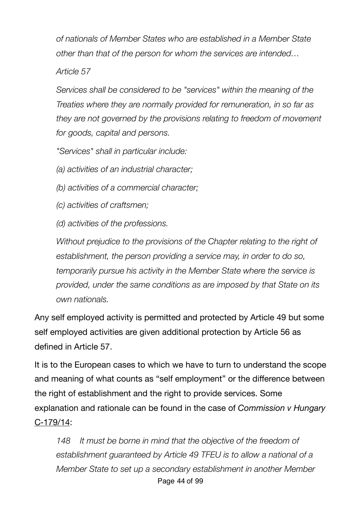*of nationals of Member States who are established in a Member State other than that of the person for whom the services are intended…* 

*Article 57* 

*Services shall be considered to be "services" within the meaning of the Treaties where they are normally provided for remuneration, in so far as they are not governed by the provisions relating to freedom of movement for goods, capital and persons.* 

*"Services" shall in particular include:* 

*(a) activities of an industrial character;* 

*(b) activities of a commercial character;* 

*(c) activities of craftsmen;* 

*(d) activities of the professions.* 

*Without prejudice to the provisions of the Chapter relating to the right of establishment, the person providing a service may, in order to do so, temporarily pursue his activity in the Member State where the service is provided, under the same conditions as are imposed by that State on its own nationals.*

Any self employed activity is permitted and protected by Article 49 but some self employed activities are given additional protection by Article 56 as defined in Article 57.

It is to the European cases to which we have to turn to understand the scope and meaning of what counts as "self employment" or the difference between the right of establishment and the right to provide services. Some explanation and rationale can be found in the case of *Commission v Hungary* C‑[179/14](http://curia.europa.eu/juris/document/document.jsf?text=&docid=174524&pageIndex=0&doclang=en&mode=lst&dir=&occ=first&part=1&cid=869564):

*148 It must be borne in mind that the objective of the freedom of establishment guaranteed by Article 49 TFEU is to allow a national of a Member State to set up a secondary establishment in another Member*  Page 44 of 99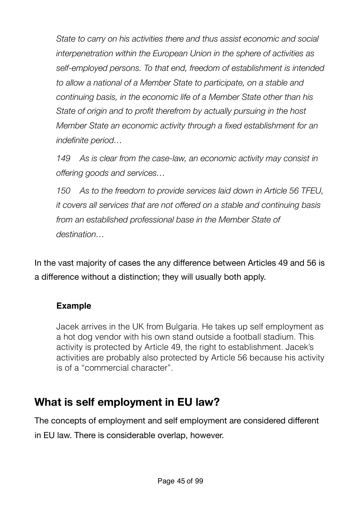*State to carry on his activities there and thus assist economic and social interpenetration within the European Union in the sphere of activities as self-employed persons. To that end, freedom of establishment is intended to allow a national of a Member State to participate, on a stable and continuing basis, in the economic life of a Member State other than his State of origin and to profit therefrom by actually pursuing in the host Member State an economic activity through a fixed establishment for an indefinite period…*

*149 As is clear from the case-law, an economic activity may consist in offering goods and services…*

*150 As to the freedom to provide services laid down in Article 56 TFEU, it covers all services that are not offered on a stable and continuing basis from an established professional base in the Member State of destination…* 

In the vast majority of cases the any difference between Articles 49 and 56 is a difference without a distinction; they will usually both apply.

### **Example**

Jacek arrives in the UK from Bulgaria. He takes up self employment as a hot dog vendor with his own stand outside a football stadium. This activity is protected by Article 49, the right to establishment. Jacek's activities are probably also protected by Article 56 because his activity is of a "commercial character".

## **What is self employment in EU law?**

The concepts of employment and self employment are considered different in EU law. There is considerable overlap, however.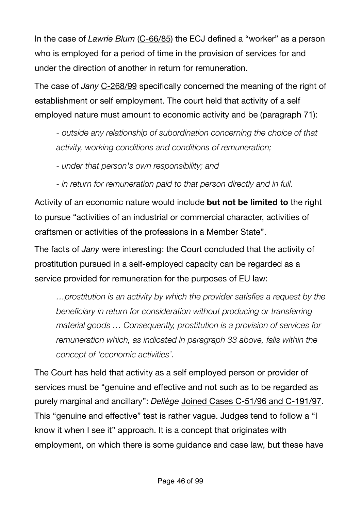In the case of *Lawrie Blum* [\(C-66/85](http://eur-lex.europa.eu/legal-content/EN/TXT/?uri=CELEX%3A61985CJ0066)) the ECJ defined a "worker" as a person who is employed for a period of time in the provision of services for and under the direction of another in return for remuneration.

The case of *Jany* [C-268/99](http://curia.europa.eu/juris/document/document.jsf;jsessionid=9ea7d0f130d57a863dc519724edab9c2e794efc82e57.e34KaxiLc3eQc40LaxqMbN4Och0Qe0?text=&docid=46850&pageIndex=0&doclang=EN&mode=lst&dir=&occ=first&part=1&cid=291095) specifically concerned the meaning of the right of establishment or self employment. The court held that activity of a self employed nature must amount to economic activity and be (paragraph 71):

*- outside any relationship of subordination concerning the choice of that activity, working conditions and conditions of remuneration;*

*- under that person's own responsibility; and* 

*- in return for remuneration paid to that person directly and in full.*

Activity of an economic nature would include **but not be limited to** the right to pursue "activities of an industrial or commercial character, activities of craftsmen or activities of the professions in a Member State".

The facts of *Jany* were interesting: the Court concluded that the activity of prostitution pursued in a self-employed capacity can be regarded as a service provided for remuneration for the purposes of EU law:

*…prostitution is an activity by which the provider satisfies a request by the beneficiary in return for consideration without producing or transferring material goods … Consequently, prostitution is a provision of services for remuneration which, as indicated in paragraph 33 above, falls within the concept of 'economic activities'.*

The Court has held that activity as a self employed person or provider of services must be "genuine and effective and not such as to be regarded as purely marginal and ancillary": *Deliège* [Joined Cases C-51/96 and C-191/97](http://curia.europa.eu/juris/document/document.jsf?text=&docid=45230&pageIndex=0&doclang=en&mode=lst&dir=&occ=first&part=1&cid=869564). This "genuine and effective" test is rather vague. Judges tend to follow a "I know it when I see it" approach. It is a concept that originates with employment, on which there is some guidance and case law, but these have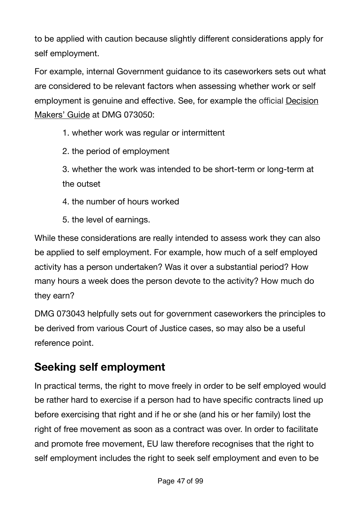to be applied with caution because slightly different considerations apply for self employment.

For example, internal Government guidance to its caseworkers sets out what are considered to be relevant factors when assessing whether work or self employment is genuine and effective. See, for example the official [Decision](https://www.gov.uk/government/collections/decision-makers-guide-staff-guide)  [Makers' Guide](https://www.gov.uk/government/collections/decision-makers-guide-staff-guide) at DMG 073050:

1. whether work was regular or intermittent

- 2. the period of employment
- 3. whether the work was intended to be short-term or long-term at the outset
- 4. the number of hours worked
- 5. the level of earnings.

While these considerations are really intended to assess work they can also be applied to self employment. For example, how much of a self employed activity has a person undertaken? Was it over a substantial period? How many hours a week does the person devote to the activity? How much do they earn?

DMG 073043 helpfully sets out for government caseworkers the principles to be derived from various Court of Justice cases, so may also be a useful reference point.

# **Seeking self employment**

In practical terms, the right to move freely in order to be self employed would be rather hard to exercise if a person had to have specific contracts lined up before exercising that right and if he or she (and his or her family) lost the right of free movement as soon as a contract was over. In order to facilitate and promote free movement, EU law therefore recognises that the right to self employment includes the right to seek self employment and even to be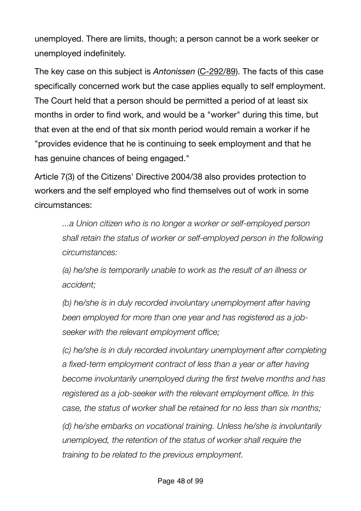unemployed. There are limits, though; a person cannot be a work seeker or unemployed indefinitely.

The key case on this subject is *Antonissen* [\(C-292/89](http://eur-lex.europa.eu/legal-content/EN/TXT/?uri=CELEX%3A61989CJ0292)). The facts of this case specifically concerned work but the case applies equally to self employment. The Court held that a person should be permitted a period of at least six months in order to find work, and would be a "worker" during this time, but that even at the end of that six month period would remain a worker if he "provides evidence that he is continuing to seek employment and that he has genuine chances of being engaged."

Article 7(3) of the Citizens' Directive 2004/38 also provides protection to workers and the self employed who find themselves out of work in some circumstances:

*...a Union citizen who is no longer a worker or self-employed person shall retain the status of worker or self-employed person in the following circumstances:* 

*(a) he/she is temporarily unable to work as the result of an illness or accident;* 

*(b) he/she is in duly recorded involuntary unemployment after having been employed for more than one year and has registered as a jobseeker with the relevant employment office;* 

*(c) he/she is in duly recorded involuntary unemployment after completing a fixed-term employment contract of less than a year or after having become involuntarily unemployed during the first twelve months and has registered as a job-seeker with the relevant employment office. In this case, the status of worker shall be retained for no less than six months;* 

*(d) he/she embarks on vocational training. Unless he/she is involuntarily unemployed, the retention of the status of worker shall require the training to be related to the previous employment.*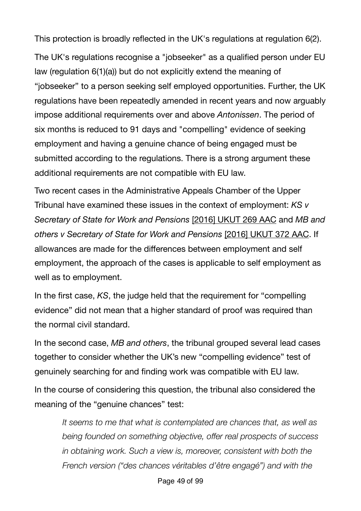This protection is broadly reflected in the UK's regulations at regulation 6(2).

The UK's regulations recognise a "jobseeker" as a qualified person under EU law (regulation 6(1)(a)) but do not explicitly extend the meaning of "jobseeker" to a person seeking self employed opportunities. Further, the UK regulations have been repeatedly amended in recent years and now arguably impose additional requirements over and above *Antonissen*. The period of six months is reduced to 91 days and "compelling" evidence of seeking employment and having a genuine chance of being engaged must be submitted according to the regulations. There is a strong argument these additional requirements are not compatible with EU law.

Two recent cases in the Administrative Appeals Chamber of the Upper Tribunal have examined these issues in the context of employment: *KS v Secretary of State for Work and Pensions* [\[2016\] UKUT 269 AAC](http://administrativeappeals.decisions.tribunals.gov.uk/Aspx/view.aspx?id=4880) and *MB and others v Secretary of State for Work and Pensions* [\[2016\] UKUT 372 AAC](http://administrativeappeals.decisions.tribunals.gov.uk/Aspx/view.aspx?id=4931). If allowances are made for the differences between employment and self employment, the approach of the cases is applicable to self employment as well as to employment.

In the first case, *KS*, the judge held that the requirement for "compelling evidence" did not mean that a higher standard of proof was required than the normal civil standard.

In the second case, *MB and others*, the tribunal grouped several lead cases together to consider whether the UK's new "compelling evidence" test of genuinely searching for and finding work was compatible with EU law.

In the course of considering this question, the tribunal also considered the meaning of the "genuine chances" test:

*It seems to me that what is contemplated are chances that, as well as being founded on something objective, offer real prospects of success in obtaining work. Such a view is, moreover, consistent with both the French version ("des chances véritables d'être engagé") and with the*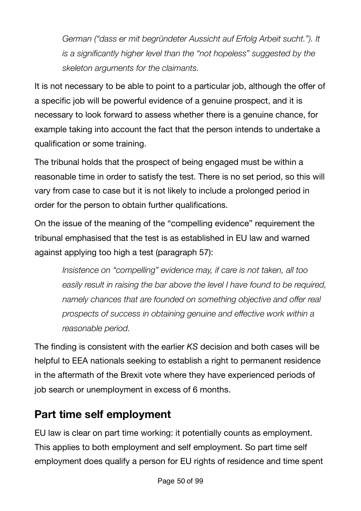*German ("dass er mit begründeter Aussicht auf Erfolg Arbeit sucht."). It is a significantly higher level than the "not hopeless" suggested by the skeleton arguments for the claimants.* 

It is not necessary to be able to point to a particular job, although the offer of a specific job will be powerful evidence of a genuine prospect, and it is necessary to look forward to assess whether there is a genuine chance, for example taking into account the fact that the person intends to undertake a qualification or some training.

The tribunal holds that the prospect of being engaged must be within a reasonable time in order to satisfy the test. There is no set period, so this will vary from case to case but it is not likely to include a prolonged period in order for the person to obtain further qualifications.

On the issue of the meaning of the "compelling evidence" requirement the tribunal emphasised that the test is as established in EU law and warned against applying too high a test (paragraph 57):

*Insistence on "compelling" evidence may, if care is not taken, all too easily result in raising the bar above the level I have found to be required, namely chances that are founded on something objective and offer real prospects of success in obtaining genuine and effective work within a reasonable period.* 

The finding is consistent with the earlier *KS* decision and both cases will be helpful to EEA nationals seeking to establish a right to permanent residence in the aftermath of the Brexit vote where they have experienced periods of job search or unemployment in excess of 6 months.

## **Part time self employment**

EU law is clear on part time working: it potentially counts as employment. This applies to both employment and self employment. So part time self employment does qualify a person for EU rights of residence and time spent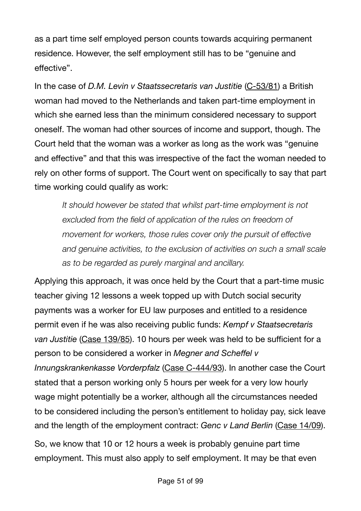as a part time self employed person counts towards acquiring permanent residence. However, the self employment still has to be "genuine and effective".

In the case of *D.M. Levin v Staatssecretaris van Justitie* [\(C-53/81](http://eur-lex.europa.eu/legal-content/EN/TXT/?uri=CELEX%3A61981CJ0053)) a British woman had moved to the Netherlands and taken part-time employment in which she earned less than the minimum considered necessary to support oneself. The woman had other sources of income and support, though. The Court held that the woman was a worker as long as the work was "genuine and effective" and that this was irrespective of the fact the woman needed to rely on other forms of support. The Court went on specifically to say that part time working could qualify as work:

*It should however be stated that whilst part-time employment is not excluded from the field of application of the rules on freedom of movement for workers, those rules cover only the pursuit of effective and genuine activities, to the exclusion of activities on such a small scale as to be regarded as purely marginal and ancillary.* 

Applying this approach, it was once held by the Court that a part-time music teacher giving 12 lessons a week topped up with Dutch social security payments was a worker for EU law purposes and entitled to a residence permit even if he was also receiving public funds: *Kempf v Staatsecretaris van Justitie* [\(Case 139/85](http://eur-lex.europa.eu/legal-content/EN/TXT/?uri=CELEX%3A61985CJ0139)). 10 hours per week was held to be sufficient for a person to be considered a worker in *Megner and Scheffel v Innungskrankenkasse Vorderpfalz* [\(Case C-444/93](http://curia.europa.eu/juris/showPdf.jsf?text=&docid=99435&doclang=EN)). In another case the Court stated that a person working only 5 hours per week for a very low hourly wage might potentially be a worker, although all the circumstances needed to be considered including the person's entitlement to holiday pay, sick leave and the length of the employment contract: *Genc v Land Berlin* [\(Case 14/09](http://eur-lex.europa.eu/legal-content/EN/TXT/?uri=CELEX%3A62009CJ0014)). So, we know that 10 or 12 hours a week is probably genuine part time

employment. This must also apply to self employment. It may be that even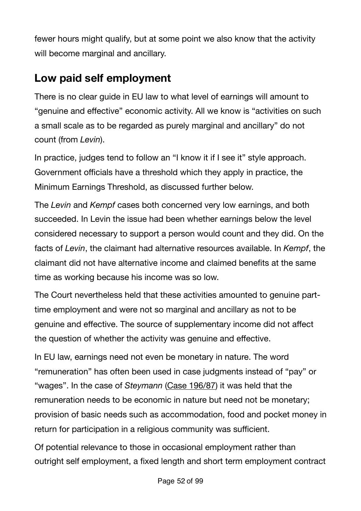fewer hours might qualify, but at some point we also know that the activity will become marginal and ancillary.

## **Low paid self employment**

There is no clear guide in EU law to what level of earnings will amount to "genuine and effective" economic activity. All we know is "activities on such a small scale as to be regarded as purely marginal and ancillary" do not count (from *Levin*).

In practice, judges tend to follow an "I know it if I see it" style approach. Government officials have a threshold which they apply in practice, the Minimum Earnings Threshold, as discussed further below.

The *Levin* and *Kempf* cases both concerned very low earnings, and both succeeded. In Levin the issue had been whether earnings below the level considered necessary to support a person would count and they did. On the facts of *Levin*, the claimant had alternative resources available. In *Kempf*, the claimant did not have alternative income and claimed benefits at the same time as working because his income was so low.

The Court nevertheless held that these activities amounted to genuine parttime employment and were not so marginal and ancillary as not to be genuine and effective. The source of supplementary income did not affect the question of whether the activity was genuine and effective.

In EU law, earnings need not even be monetary in nature. The word "remuneration" has often been used in case judgments instead of "pay" or "wages". In the case of *Steymann* ([Case 196/87](http://eur-lex.europa.eu/legal-content/EN/TXT/?uri=CELEX%3A61987CJ0196)) it was held that the remuneration needs to be economic in nature but need not be monetary; provision of basic needs such as accommodation, food and pocket money in return for participation in a religious community was sufficient.

Of potential relevance to those in occasional employment rather than outright self employment, a fixed length and short term employment contract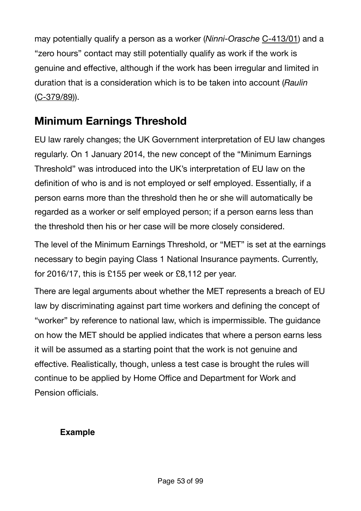may potentially qualify a person as a worker (*Ninni-Orasche* [C-413/01](http://curia.europa.eu/juris/liste.jsf?language=en&num=C-413/01)) and a "zero hours" contact may still potentially qualify as work if the work is genuine and effective, although if the work has been irregular and limited in duration that is a consideration which is to be taken into account (*Raulin* [\(C-379/89](http://eur-lex.europa.eu/legal-content/EN/TXT/?uri=CELEX:61989CJ0357))).

## **Minimum Earnings Threshold**

EU law rarely changes; the UK Government interpretation of EU law changes regularly. On 1 January 2014, the new concept of the "Minimum Earnings Threshold" was introduced into the UK's interpretation of EU law on the definition of who is and is not employed or self employed. Essentially, if a person earns more than the threshold then he or she will automatically be regarded as a worker or self employed person; if a person earns less than the threshold then his or her case will be more closely considered.

The level of the Minimum Earnings Threshold, or "MET" is set at the earnings necessary to begin paying Class 1 National Insurance payments. Currently, for 2016/17, this is £155 per week or £8,112 per year.

There are legal arguments about whether the MET represents a breach of EU law by discriminating against part time workers and defining the concept of "worker" by reference to national law, which is impermissible. The guidance on how the MET should be applied indicates that where a person earns less it will be assumed as a starting point that the work is not genuine and effective. Realistically, though, unless a test case is brought the rules will continue to be applied by Home Office and Department for Work and Pension officials.

### **Example**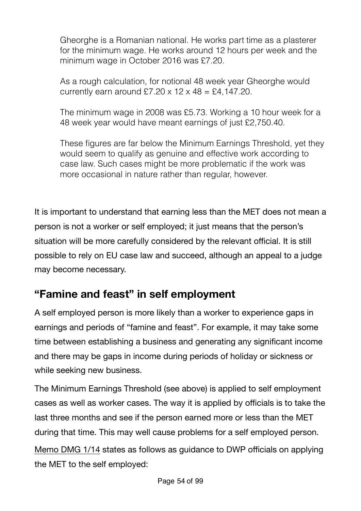Gheorghe is a Romanian national. He works part time as a plasterer for the minimum wage. He works around 12 hours per week and the minimum wage in October 2016 was £7.20.

As a rough calculation, for notional 48 week year Gheorghe would currently earn around £7.20  $\times$  12  $\times$  48 = £4,147.20.

The minimum wage in 2008 was £5.73. Working a 10 hour week for a 48 week year would have meant earnings of just £2,750.40.

These figures are far below the Minimum Earnings Threshold, yet they would seem to qualify as genuine and effective work according to case law. Such cases might be more problematic if the work was more occasional in nature rather than regular, however.

It is important to understand that earning less than the MET does not mean a person is not a worker or self employed; it just means that the person's situation will be more carefully considered by the relevant official. It is still possible to rely on EU case law and succeed, although an appeal to a judge may become necessary.

## **"Famine and feast" in self employment**

A self employed person is more likely than a worker to experience gaps in earnings and periods of "famine and feast". For example, it may take some time between establishing a business and generating any significant income and there may be gaps in income during periods of holiday or sickness or while seeking new business.

The Minimum Earnings Threshold (see above) is applied to self employment cases as well as worker cases. The way it is applied by officials is to take the last three months and see if the person earned more or less than the MET during that time. This may well cause problems for a self employed person.

[Memo DMG 1/14](http://www.rightsnet.org.uk/pdfs/DMG_Memo_1_14.pdf) states as follows as guidance to DWP officials on applying the MET to the self employed: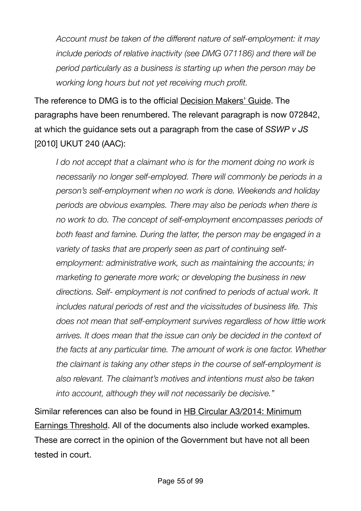*Account must be taken of the different nature of self-employment: it may include periods of relative inactivity (see DMG 071186) and there will be period particularly as a business is starting up when the person may be working long hours but not yet receiving much profit.* 

The reference to DMG is to the official [Decision Makers' Guide](https://www.gov.uk/government/collections/decision-makers-guide-staff-guide). The paragraphs have been renumbered. The relevant paragraph is now 072842, at which the guidance sets out a paragraph from the case of *SSWP v JS* [2010] UKUT 240 (AAC):

*I* do not accept that a claimant who is for the moment doing no work is *necessarily no longer self-employed. There will commonly be periods in a person's self-employment when no work is done. Weekends and holiday periods are obvious examples. There may also be periods when there is no work to do. The concept of self-employment encompasses periods of both feast and famine. During the latter, the person may be engaged in a variety of tasks that are properly seen as part of continuing selfemployment: administrative work, such as maintaining the accounts; in marketing to generate more work; or developing the business in new directions. Self- employment is not confined to periods of actual work. It includes natural periods of rest and the vicissitudes of business life. This does not mean that self-employment survives regardless of how little work arrives. It does mean that the issue can only be decided in the context of the facts at any particular time. The amount of work is one factor. Whether the claimant is taking any other steps in the course of self-employment is also relevant. The claimant's motives and intentions must also be taken into account, although they will not necessarily be decisive."* 

Similar references can also be found in [HB Circular A3/2014: Minimum](https://www.gov.uk/government/uploads/system/uploads/attachment_data/file/284913/a3-2014.pdf)  [Earnings Threshold](https://www.gov.uk/government/uploads/system/uploads/attachment_data/file/284913/a3-2014.pdf). All of the documents also include worked examples. These are correct in the opinion of the Government but have not all been tested in court.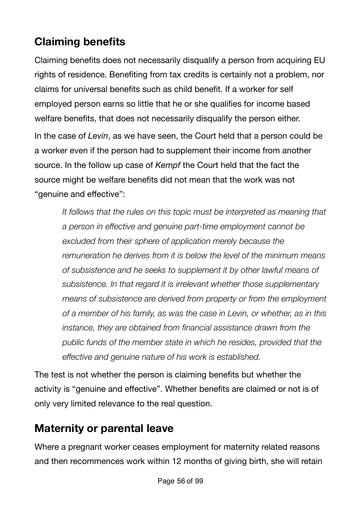# **Claiming benefits**

Claiming benefits does not necessarily disqualify a person from acquiring EU rights of residence. Benefiting from tax credits is certainly not a problem, nor claims for universal benefits such as child benefit. If a worker for self employed person earns so little that he or she qualifies for income based welfare benefits, that does not necessarily disqualify the person either. In the case of *Levin*, as we have seen, the Court held that a person could be a worker even if the person had to supplement their income from another source. In the follow up case of *Kempf* the Court held that the fact the source might be welfare benefits did not mean that the work was not "genuine and effective":

*It follows that the rules on this topic must be interpreted as meaning that a person in effective and genuine part-time employment cannot be excluded from their sphere of application merely because the remuneration he derives from it is below the level of the minimum means of subsistence and he seeks to supplement it by other lawful means of subsistence. In that regard it is irrelevant whether those supplementary means of subsistence are derived from property or from the employment of a member of his family, as was the case in Levin, or whether, as in this instance, they are obtained from financial assistance drawn from the public funds of the member state in which he resides, provided that the effective and genuine nature of his work is established.* 

The test is not whether the person is claiming benefits but whether the activity is "genuine and effective". Whether benefits are claimed or not is of only very limited relevance to the real question.

# **Maternity or parental leave**

Where a pregnant worker ceases employment for maternity related reasons and then recommences work within 12 months of giving birth, she will retain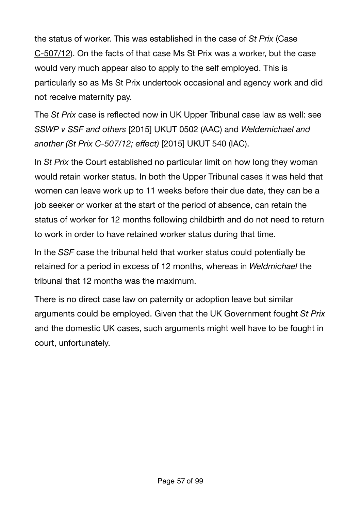the status of worker. This was established in the case of *St Prix* (Case [C-507/12](http://curia.europa.eu/juris/document/document.jsf?docid=153814&doclang=en)). On the facts of that case Ms St Prix was a worker, but the case would very much appear also to apply to the self employed. This is particularly so as Ms St Prix undertook occasional and agency work and did not receive maternity pay.

The *St Prix* case is reflected now in UK Upper Tribunal case law as well: see *SSWP v SSF and others* [2015] UKUT 0502 (AAC) and *Weldemichael and another (St Prix C-507/12; effect)* [2015] UKUT 540 (IAC).

In *St Prix* the Court established no particular limit on how long they woman would retain worker status. In both the Upper Tribunal cases it was held that women can leave work up to 11 weeks before their due date, they can be a job seeker or worker at the start of the period of absence, can retain the status of worker for 12 months following childbirth and do not need to return to work in order to have retained worker status during that time.

In the *SSF* case the tribunal held that worker status could potentially be retained for a period in excess of 12 months, whereas in *Weldmichael* the tribunal that 12 months was the maximum.

There is no direct case law on paternity or adoption leave but similar arguments could be employed. Given that the UK Government fought *St Prix* and the domestic UK cases, such arguments might well have to be fought in court, unfortunately.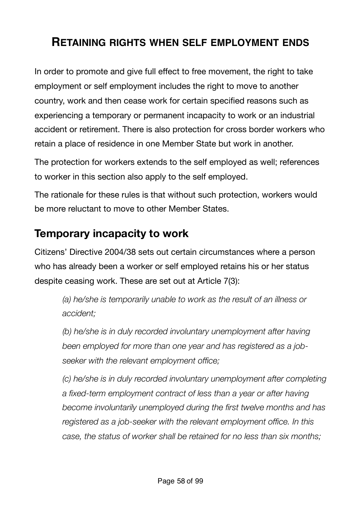## **RETAINING RIGHTS WHEN SELF EMPLOYMENT ENDS**

In order to promote and give full effect to free movement, the right to take employment or self employment includes the right to move to another country, work and then cease work for certain specified reasons such as experiencing a temporary or permanent incapacity to work or an industrial accident or retirement. There is also protection for cross border workers who retain a place of residence in one Member State but work in another.

The protection for workers extends to the self employed as well; references to worker in this section also apply to the self employed.

The rationale for these rules is that without such protection, workers would be more reluctant to move to other Member States.

## **Temporary incapacity to work**

Citizens' Directive 2004/38 sets out certain circumstances where a person who has already been a worker or self employed retains his or her status despite ceasing work. These are set out at Article 7(3):

*(a) he/she is temporarily unable to work as the result of an illness or accident;* 

*(b) he/she is in duly recorded involuntary unemployment after having been employed for more than one year and has registered as a jobseeker with the relevant employment office;* 

*(c) he/she is in duly recorded involuntary unemployment after completing a fixed-term employment contract of less than a year or after having become involuntarily unemployed during the first twelve months and has registered as a job-seeker with the relevant employment office. In this case, the status of worker shall be retained for no less than six months;*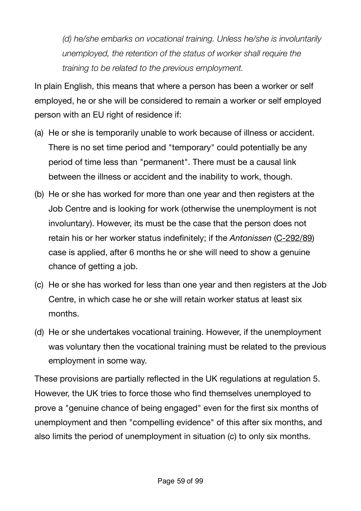*(d) he/she embarks on vocational training. Unless he/she is involuntarily unemployed, the retention of the status of worker shall require the training to be related to the previous employment.*

In plain English, this means that where a person has been a worker or self employed, he or she will be considered to remain a worker or self employed person with an EU right of residence if:

- (a) He or she is temporarily unable to work because of illness or accident. There is no set time period and "temporary" could potentially be any period of time less than "permanent". There must be a causal link between the illness or accident and the inability to work, though.
- (b) He or she has worked for more than one year and then registers at the Job Centre and is looking for work (otherwise the unemployment is not involuntary). However, its must be the case that the person does not retain his or her worker status indefinitely; if the *Antonissen* [\(C-292/89](http://eur-lex.europa.eu/legal-content/EN/TXT/?uri=CELEX%3A61989CJ0292)) case is applied, after 6 months he or she will need to show a genuine chance of getting a job.
- (c) He or she has worked for less than one year and then registers at the Job Centre, in which case he or she will retain worker status at least six months.
- (d) He or she undertakes vocational training. However, if the unemployment was voluntary then the vocational training must be related to the previous employment in some way.

These provisions are partially reflected in the UK regulations at regulation 5. However, the UK tries to force those who find themselves unemployed to prove a "genuine chance of being engaged" even for the first six months of unemployment and then "compelling evidence" of this after six months, and also limits the period of unemployment in situation (c) to only six months.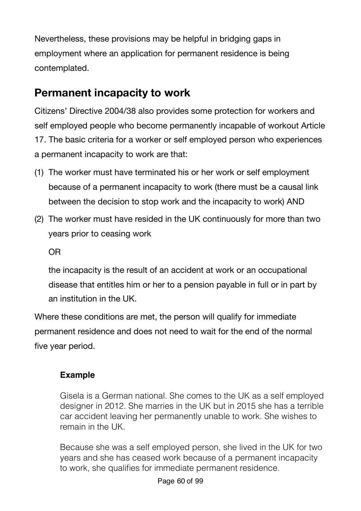Nevertheless, these provisions may be helpful in bridging gaps in employment where an application for permanent residence is being contemplated.

## **Permanent incapacity to work**

Citizens' Directive 2004/38 also provides some protection for workers and self employed people who become permanently incapable of workout Article 17. The basic criteria for a worker or self employed person who experiences a permanent incapacity to work are that:

- (1) The worker must have terminated his or her work or self employment because of a permanent incapacity to work (there must be a causal link between the decision to stop work and the incapacity to work) AND
- (2) The worker must have resided in the UK continuously for more than two years prior to ceasing work

OR

the incapacity is the result of an accident at work or an occupational disease that entitles him or her to a pension payable in full or in part by an institution in the UK.

Where these conditions are met, the person will qualify for immediate permanent residence and does not need to wait for the end of the normal five year period.

### **Example**

Gisela is a German national. She comes to the UK as a self employed designer in 2012. She marries in the UK but in 2015 she has a terrible car accident leaving her permanently unable to work. She wishes to remain in the UK.

Because she was a self employed person, she lived in the UK for two years and she has ceased work because of a permanent incapacity to work, she qualifies for immediate permanent residence.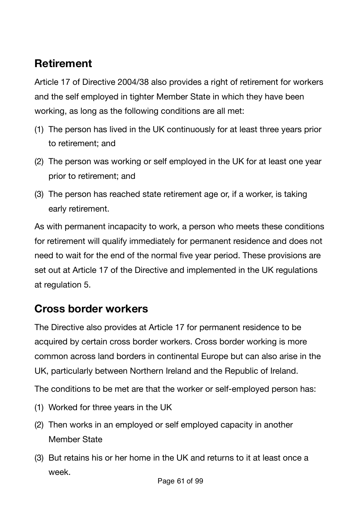# **Retirement**

Article 17 of Directive 2004/38 also provides a right of retirement for workers and the self employed in tighter Member State in which they have been working, as long as the following conditions are all met:

- (1) The person has lived in the UK continuously for at least three years prior to retirement; and
- (2) The person was working or self employed in the UK for at least one year prior to retirement; and
- (3) The person has reached state retirement age or, if a worker, is taking early retirement.

As with permanent incapacity to work, a person who meets these conditions for retirement will qualify immediately for permanent residence and does not need to wait for the end of the normal five year period. These provisions are set out at Article 17 of the Directive and implemented in the UK regulations at regulation 5.

## **Cross border workers**

The Directive also provides at Article 17 for permanent residence to be acquired by certain cross border workers. Cross border working is more common across land borders in continental Europe but can also arise in the UK, particularly between Northern Ireland and the Republic of Ireland.

The conditions to be met are that the worker or self-employed person has:

- (1) Worked for three years in the UK
- (2) Then works in an employed or self employed capacity in another Member State
- (3) But retains his or her home in the UK and returns to it at least once a week.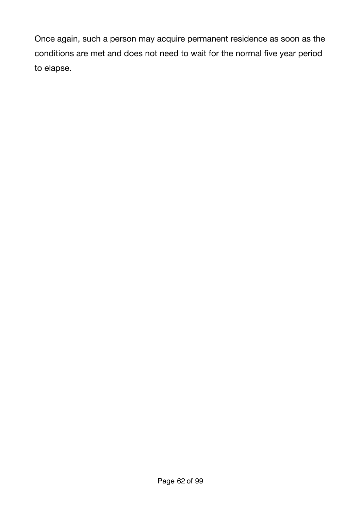Once again, such a person may acquire permanent residence as soon as the conditions are met and does not need to wait for the normal five year period to elapse.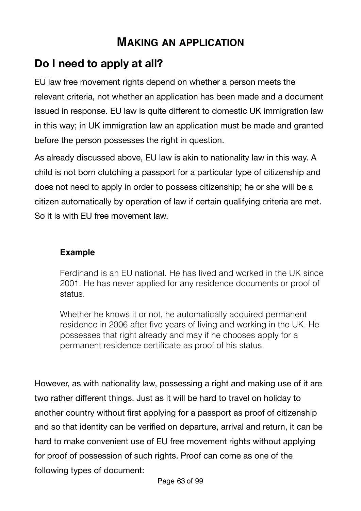## **MAKING AN APPLICATION**

# **Do I need to apply at all?**

EU law free movement rights depend on whether a person meets the relevant criteria, not whether an application has been made and a document issued in response. EU law is quite different to domestic UK immigration law in this way; in UK immigration law an application must be made and granted before the person possesses the right in question.

As already discussed above, EU law is akin to nationality law in this way. A child is not born clutching a passport for a particular type of citizenship and does not need to apply in order to possess citizenship; he or she will be a citizen automatically by operation of law if certain qualifying criteria are met. So it is with EU free movement law.

#### **Example**

Ferdinand is an EU national. He has lived and worked in the UK since 2001. He has never applied for any residence documents or proof of status.

Whether he knows it or not, he automatically acquired permanent residence in 2006 after five years of living and working in the UK. He possesses that right already and may if he chooses apply for a permanent residence certificate as proof of his status.

However, as with nationality law, possessing a right and making use of it are two rather different things. Just as it will be hard to travel on holiday to another country without first applying for a passport as proof of citizenship and so that identity can be verified on departure, arrival and return, it can be hard to make convenient use of EU free movement rights without applying for proof of possession of such rights. Proof can come as one of the following types of document: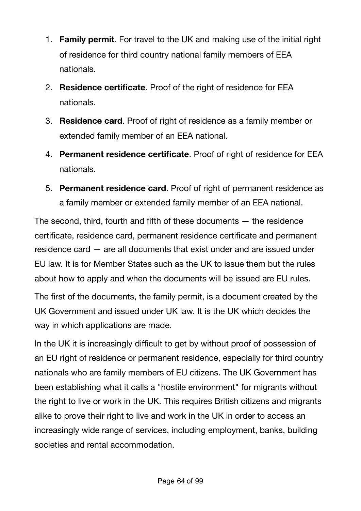- 1. **Family permit**. For travel to the UK and making use of the initial right of residence for third country national family members of EEA nationals.
- 2. **Residence certificate**. Proof of the right of residence for EEA nationals.
- 3. **Residence card**. Proof of right of residence as a family member or extended family member of an EEA national.
- 4. **Permanent residence certificate**. Proof of right of residence for EEA nationals.
- 5. **Permanent residence card**. Proof of right of permanent residence as a family member or extended family member of an EEA national.

The second, third, fourth and fifth of these documents  $-$  the residence certificate, residence card, permanent residence certificate and permanent residence card — are all documents that exist under and are issued under EU law. It is for Member States such as the UK to issue them but the rules about how to apply and when the documents will be issued are EU rules.

The first of the documents, the family permit, is a document created by the UK Government and issued under UK law. It is the UK which decides the way in which applications are made.

In the UK it is increasingly difficult to get by without proof of possession of an EU right of residence or permanent residence, especially for third country nationals who are family members of EU citizens. The UK Government has been establishing what it calls a "hostile environment" for migrants without the right to live or work in the UK. This requires British citizens and migrants alike to prove their right to live and work in the UK in order to access an increasingly wide range of services, including employment, banks, building societies and rental accommodation.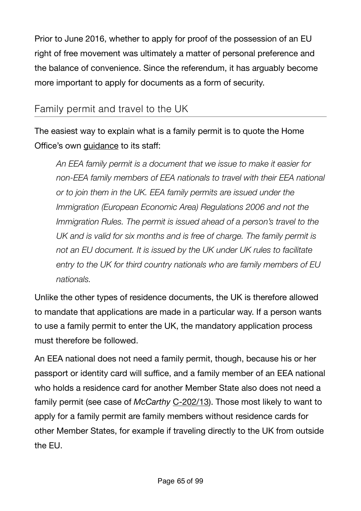Prior to June 2016, whether to apply for proof of the possession of an EU right of free movement was ultimately a matter of personal preference and the balance of convenience. Since the referendum, it has arguably become more important to apply for documents as a form of security.

### Family permit and travel to the UK

The easiest way to explain what is a family permit is to quote the Home Office's own [guidance](https://www.gov.uk/government/publications/eea-family-permits-eun02/eea-family-permit-eun02#eun214-can-family-members-of-british-citizens-qualify-for-an-eea-family-permit-surinder-singh-cases) to its staff:

*An EEA family permit is a document that we issue to make it easier for non-EEA family members of EEA nationals to travel with their EEA national or to join them in the UK. EEA family permits are issued under the Immigration (European Economic Area) Regulations 2006 and not the Immigration Rules. The permit is issued ahead of a person's travel to the UK and is valid for six months and is free of charge. The family permit is not an EU document. It is issued by the UK under UK rules to facilitate entry to the UK for third country nationals who are family members of EU nationals.* 

Unlike the other types of residence documents, the UK is therefore allowed to mandate that applications are made in a particular way. If a person wants to use a family permit to enter the UK, the mandatory application process must therefore be followed.

An EEA national does not need a family permit, though, because his or her passport or identity card will suffice, and a family member of an EEA national who holds a residence card for another Member State also does not need a family permit (see case of *McCarthy* [C-202/13](http://www.bailii.org/eu/cases/EUECJ/2014/C20213.html)). Those most likely to want to apply for a family permit are family members without residence cards for other Member States, for example if traveling directly to the UK from outside the EU.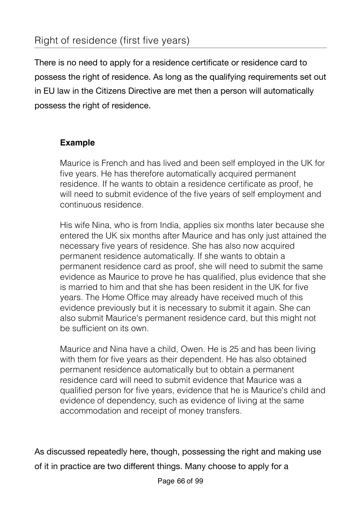There is no need to apply for a residence certificate or residence card to possess the right of residence. As long as the qualifying requirements set out in EU law in the Citizens Directive are met then a person will automatically possess the right of residence.

### **Example**

Maurice is French and has lived and been self employed in the UK for five years. He has therefore automatically acquired permanent residence. If he wants to obtain a residence certificate as proof, he will need to submit evidence of the five years of self employment and continuous residence.

His wife Nina, who is from India, applies six months later because she entered the UK six months after Maurice and has only just attained the necessary five years of residence. She has also now acquired permanent residence automatically. If she wants to obtain a permanent residence card as proof, she will need to submit the same evidence as Maurice to prove he has qualified, plus evidence that she is married to him and that she has been resident in the UK for five years. The Home Office may already have received much of this evidence previously but it is necessary to submit it again. She can also submit Maurice's permanent residence card, but this might not be sufficient on its own.

Maurice and Nina have a child, Owen. He is 25 and has been living with them for five years as their dependent. He has also obtained permanent residence automatically but to obtain a permanent residence card will need to submit evidence that Maurice was a qualified person for five years, evidence that he is Maurice's child and evidence of dependency, such as evidence of living at the same accommodation and receipt of money transfers.

As discussed repeatedly here, though, possessing the right and making use of it in practice are two different things. Many choose to apply for a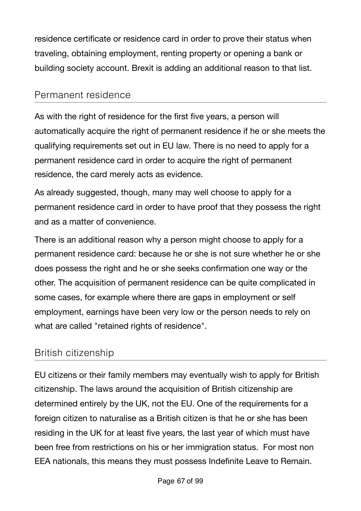residence certificate or residence card in order to prove their status when traveling, obtaining employment, renting property or opening a bank or building society account. Brexit is adding an additional reason to that list.

### Permanent residence

As with the right of residence for the first five years, a person will automatically acquire the right of permanent residence if he or she meets the qualifying requirements set out in EU law. There is no need to apply for a permanent residence card in order to acquire the right of permanent residence, the card merely acts as evidence.

As already suggested, though, many may well choose to apply for a permanent residence card in order to have proof that they possess the right and as a matter of convenience.

There is an additional reason why a person might choose to apply for a permanent residence card: because he or she is not sure whether he or she does possess the right and he or she seeks confirmation one way or the other. The acquisition of permanent residence can be quite complicated in some cases, for example where there are gaps in employment or self employment, earnings have been very low or the person needs to rely on what are called "retained rights of residence".

### British citizenship

EU citizens or their family members may eventually wish to apply for British citizenship. The laws around the acquisition of British citizenship are determined entirely by the UK, not the EU. One of the requirements for a foreign citizen to naturalise as a British citizen is that he or she has been residing in the UK for at least five years, the last year of which must have been free from restrictions on his or her immigration status. For most non EEA nationals, this means they must possess Indefinite Leave to Remain.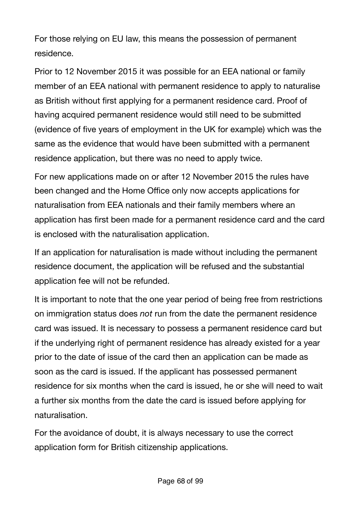For those relying on EU law, this means the possession of permanent residence.

Prior to 12 November 2015 it was possible for an EEA national or family member of an EEA national with permanent residence to apply to naturalise as British without first applying for a permanent residence card. Proof of having acquired permanent residence would still need to be submitted (evidence of five years of employment in the UK for example) which was the same as the evidence that would have been submitted with a permanent residence application, but there was no need to apply twice.

For new applications made on or after 12 November 2015 the rules have been changed and the Home Office only now accepts applications for naturalisation from EEA nationals and their family members where an application has first been made for a permanent residence card and the card is enclosed with the naturalisation application.

If an application for naturalisation is made without including the permanent residence document, the application will be refused and the substantial application fee will not be refunded.

It is important to note that the one year period of being free from restrictions on immigration status does *not* run from the date the permanent residence card was issued. It is necessary to possess a permanent residence card but if the underlying right of permanent residence has already existed for a year prior to the date of issue of the card then an application can be made as soon as the card is issued. If the applicant has possessed permanent residence for six months when the card is issued, he or she will need to wait a further six months from the date the card is issued before applying for naturalisation.

For the avoidance of doubt, it is always necessary to use the correct application form for British citizenship applications.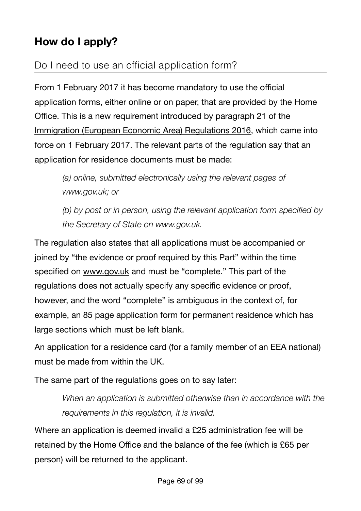# **How do I apply?**

## Do I need to use an official application form?

From 1 February 2017 it has become mandatory to use the official application forms, either online or on paper, that are provided by the Home Office. This is a new requirement introduced by paragraph 21 of the [Immigration \(European Economic Area\) Regulations 2016,](http://www.legislation.gov.uk/uksi/2016/1052/made) which came into force on 1 February 2017. The relevant parts of the regulation say that an application for residence documents must be made:

*(a) online, submitted electronically using the relevant pages of www.gov.uk; or* 

*(b) by post or in person, using the relevant application form specified by the Secretary of State on www.gov.uk.*

The regulation also states that all applications must be accompanied or joined by "the evidence or proof required by this Part" within the time specified on [www.gov.uk](http://www.gov.uk) and must be "complete." This part of the regulations does not actually specify any specific evidence or proof, however, and the word "complete" is ambiguous in the context of, for example, an 85 page application form for permanent residence which has large sections which must be left blank.

An application for a residence card (for a family member of an EEA national) must be made from within the UK.

The same part of the regulations goes on to say later:

*When an application is submitted otherwise than in accordance with the requirements in this regulation, it is invalid.* 

Where an application is deemed invalid a £25 administration fee will be retained by the Home Office and the balance of the fee (which is £65 per person) will be returned to the applicant.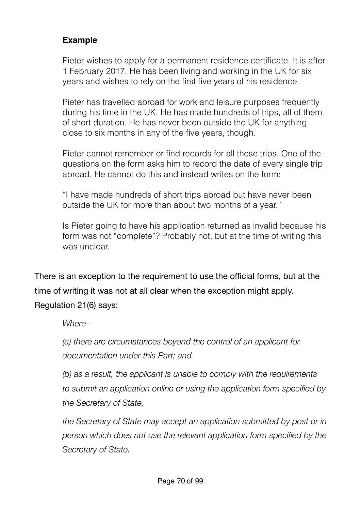### **Example**

Pieter wishes to apply for a permanent residence certificate. It is after 1 February 2017. He has been living and working in the UK for six years and wishes to rely on the first five years of his residence.

Pieter has travelled abroad for work and leisure purposes frequently during his time in the UK. He has made hundreds of trips, all of them of short duration. He has never been outside the UK for anything close to six months in any of the five years, though.

Pieter cannot remember or find records for all these trips. One of the questions on the form asks him to record the date of every single trip abroad. He cannot do this and instead writes on the form:

"I have made hundreds of short trips abroad but have never been outside the UK for more than about two months of a year."

Is Pieter going to have his application returned as invalid because his form was not "complete"? Probably not, but at the time of writing this was unclear.

There is an exception to the requirement to use the official forms, but at the time of writing it was not at all clear when the exception might apply. Regulation 21(6) says:

*Where—* 

*(a) there are circumstances beyond the control of an applicant for documentation under this Part; and* 

*(b) as a result, the applicant is unable to comply with the requirements to submit an application online or using the application form specified by the Secretary of State,* 

*the Secretary of State may accept an application submitted by post or in person which does not use the relevant application form specified by the Secretary of State.*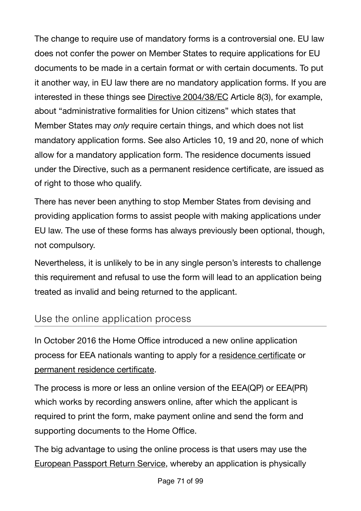The change to require use of mandatory forms is a controversial one. EU law does not confer the power on Member States to require applications for EU documents to be made in a certain format or with certain documents. To put it another way, in EU law there are no mandatory application forms. If you are interested in these things see [Directive 2004/38/EC](http://eur-lex.europa.eu/LexUriServ/LexUriServ.do?uri=OJ:L:2004:158:0077:0123:en:PDF) Article 8(3), for example, about "administrative formalities for Union citizens" which states that Member States may *only* require certain things, and which does not list mandatory application forms. See also Articles 10, 19 and 20, none of which allow for a mandatory application form. The residence documents issued under the Directive, such as a permanent residence certificate, are issued as of right to those who qualify.

There has never been anything to stop Member States from devising and providing application forms to assist people with making applications under EU law. The use of these forms has always previously been optional, though, not compulsory.

Nevertheless, it is unlikely to be in any single person's interests to challenge this requirement and refusal to use the form will lead to an application being treated as invalid and being returned to the applicant.

### Use the online application process

In October 2016 the Home Office introduced a new online application process for EEA nationals wanting to apply for a [residence certificate](https://visas-immigration.service.gov.uk/product/eea-qp) or [permanent residence certificate](https://visas-immigration.service.gov.uk/product/eea-pr).

The process is more or less an online version of the EEA(QP) or EEA(PR) which works by recording answers online, after which the applicant is required to print the form, make payment online and send the form and supporting documents to the Home Office.

The big advantage to using the online process is that users may use the [European Passport Return Service,](https://www.gov.uk/government/collections/european-passport-return-service) whereby an application is physically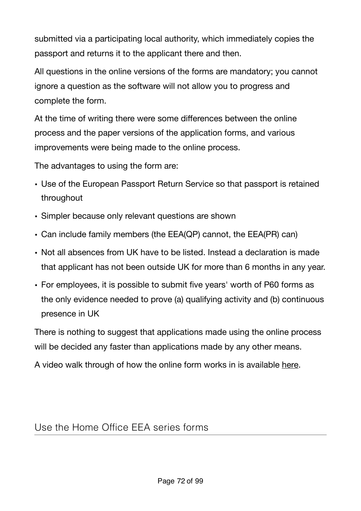submitted via a participating local authority, which immediately copies the passport and returns it to the applicant there and then.

All questions in the online versions of the forms are mandatory; you cannot ignore a question as the software will not allow you to progress and complete the form.

At the time of writing there were some differences between the online process and the paper versions of the application forms, and various improvements were being made to the online process.

The advantages to using the form are:

- Use of the European Passport Return Service so that passport is retained throughout
- Simpler because only relevant questions are shown
- Can include family members (the EEA(QP) cannot, the EEA(PR) can)
- Not all absences from UK have to be listed. Instead a declaration is made that applicant has not been outside UK for more than 6 months in any year.
- For employees, it is possible to submit five years' worth of P60 forms as the only evidence needed to prove (a) qualifying activity and (b) continuous presence in UK

There is nothing to suggest that applications made using the online process will be decided any faster than applications made by any other means.

A video walk through of how the online form works in is available [here](https://www.freemovement.org.uk/online-eea-permanent-residence-european-passport-return-service-now-available/).

## Use the Home Office EEA series forms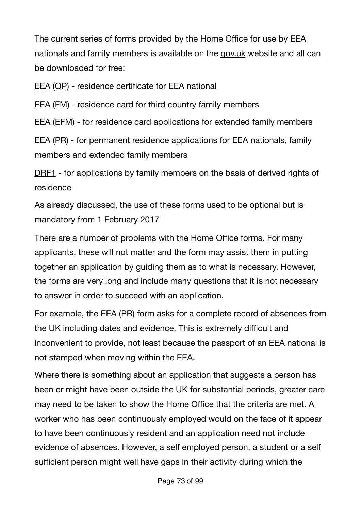The current series of forms provided by the Home Office for use by EEA nationals and family members is available on the [gov.uk](https://www.gov.uk/government/collections/uk-visa-forms#application-forms-for-citizens-of-the-european-economic-area) website and all can be downloaded for free:

[EEA \(QP\)](https://www.gov.uk/government/publications/apply-for-a-registration-certificate-as-a-qualified-person-form-eea-qp) - residence certificate for EEA national

[EEA \(FM\)](https://www.gov.uk/government/publications/apply-for-a-registration-certificate-or-residence-card-for-a-family-member-form-eea-fm) - residence card for third country family members

[EEA \(EFM\)](https://www.gov.uk/government/publications/apply-for-a-registration-certificate-or-residence-card-for-an-extended-family-member-form-eea-efm) - for residence card applications for extended family members

[EEA \(PR\)](https://www.gov.uk/government/publications/apply-for-a-document-certifying-permanent-residence-or-permanent-residence-card-form-eea-pr) - for permanent residence applications for EEA nationals, family members and extended family members

[DRF1](https://www.gov.uk/government/publications/application-for-derivative-residence-card-in-uk-form-drf1) - for applications by family members on the basis of derived rights of residence

As already discussed, the use of these forms used to be optional but is mandatory from 1 February 2017

There are a number of problems with the Home Office forms. For many applicants, these will not matter and the form may assist them in putting together an application by guiding them as to what is necessary. However, the forms are very long and include many questions that it is not necessary to answer in order to succeed with an application.

For example, the EEA (PR) form asks for a complete record of absences from the UK including dates and evidence. This is extremely difficult and inconvenient to provide, not least because the passport of an EEA national is not stamped when moving within the EEA.

Where there is something about an application that suggests a person has been or might have been outside the UK for substantial periods, greater care may need to be taken to show the Home Office that the criteria are met. A worker who has been continuously employed would on the face of it appear to have been continuously resident and an application need not include evidence of absences. However, a self employed person, a student or a self sufficient person might well have gaps in their activity during which the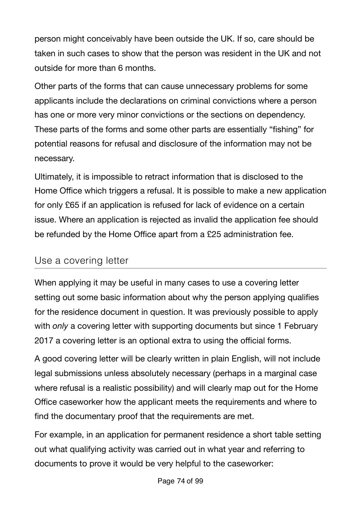person might conceivably have been outside the UK. If so, care should be taken in such cases to show that the person was resident in the UK and not outside for more than 6 months.

Other parts of the forms that can cause unnecessary problems for some applicants include the declarations on criminal convictions where a person has one or more very minor convictions or the sections on dependency. These parts of the forms and some other parts are essentially "fishing" for potential reasons for refusal and disclosure of the information may not be necessary.

Ultimately, it is impossible to retract information that is disclosed to the Home Office which triggers a refusal. It is possible to make a new application for only £65 if an application is refused for lack of evidence on a certain issue. Where an application is rejected as invalid the application fee should be refunded by the Home Office apart from a £25 administration fee.

### Use a covering letter

When applying it may be useful in many cases to use a covering letter setting out some basic information about why the person applying qualifies for the residence document in question. It was previously possible to apply with *only* a covering letter with supporting documents but since 1 February 2017 a covering letter is an optional extra to using the official forms.

A good covering letter will be clearly written in plain English, will not include legal submissions unless absolutely necessary (perhaps in a marginal case where refusal is a realistic possibility) and will clearly map out for the Home Office caseworker how the applicant meets the requirements and where to find the documentary proof that the requirements are met.

For example, in an application for permanent residence a short table setting out what qualifying activity was carried out in what year and referring to documents to prove it would be very helpful to the caseworker: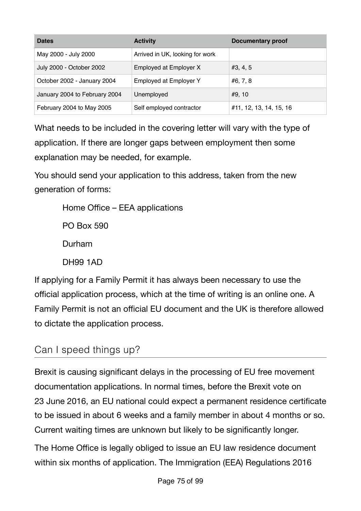| <b>Dates</b>                  | <b>Activity</b>                 | <b>Documentary proof</b> |
|-------------------------------|---------------------------------|--------------------------|
| May 2000 - July 2000          | Arrived in UK, looking for work |                          |
| July 2000 - October 2002      | Employed at Employer X          | #3, 4, 5                 |
| October 2002 - January 2004   | Employed at Employer Y          | #6, 7, 8                 |
| January 2004 to February 2004 | Unemployed                      | #9, 10                   |
| February 2004 to May 2005     | Self employed contractor        | #11, 12, 13, 14, 15, 16  |

What needs to be included in the covering letter will vary with the type of application. If there are longer gaps between employment then some explanation may be needed, for example.

You should send your application to this address, taken from the new generation of forms:

Home Office – EEA applications PO Box 590 Durham DH99 1AD

If applying for a Family Permit it has always been necessary to use the official application process, which at the time of writing is an online one. A Family Permit is not an official EU document and the UK is therefore allowed to dictate the application process.

## Can I speed things up?

Brexit is causing significant delays in the processing of EU free movement documentation applications. In normal times, before the Brexit vote on 23 June 2016, an EU national could expect a permanent residence certificate to be issued in about 6 weeks and a family member in about 4 months or so. Current waiting times are unknown but likely to be significantly longer.

The Home Office is legally obliged to issue an EU law residence document within six months of application. The Immigration (EEA) Regulations 2016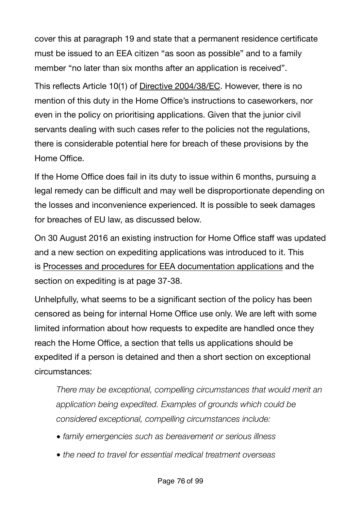cover this at paragraph 19 and state that a permanent residence certificate must be issued to an EEA citizen "as soon as possible" and to a family member "no later than six months after an application is received".

This reflects Article 10(1) of Directive [2004/38/EC](http://eur-lex.europa.eu/LexUriServ/LexUriServ.do?uri=OJ:L:2004:158:0077:0123:en:PDF). However, there is no mention of this duty in the Home Office's instructions to caseworkers, nor even in the policy on prioritising applications. Given that the junior civil servants dealing with such cases refer to the policies not the regulations, there is considerable potential here for breach of these provisions by the Home Office.

If the Home Office does fail in its duty to issue within 6 months, pursuing a legal remedy can be difficult and may well be disproportionate depending on the losses and inconvenience experienced. It is possible to seek damages for breaches of EU law, as discussed below.

On 30 August 2016 an existing instruction for Home Office staff was updated and a new section on expediting applications was introduced to it. This is [Processes and procedures for EEA documentation applications](https://www.gov.uk/government/publications/processes-and-procedures-for-eea-documentation-applications) and the section on expediting is at page 37-38.

Unhelpfully, what seems to be a significant section of the policy has been censored as being for internal Home Office use only. We are left with some limited information about how requests to expedite are handled once they reach the Home Office, a section that tells us applications should be expedited if a person is detained and then a short section on exceptional circumstances:

*There may be exceptional, compelling circumstances that would merit an application being expedited. Examples of grounds which could be considered exceptional, compelling circumstances include:* 

- *• family emergencies such as bereavement or serious illness*
- *• the need to travel for essential medical treatment overseas*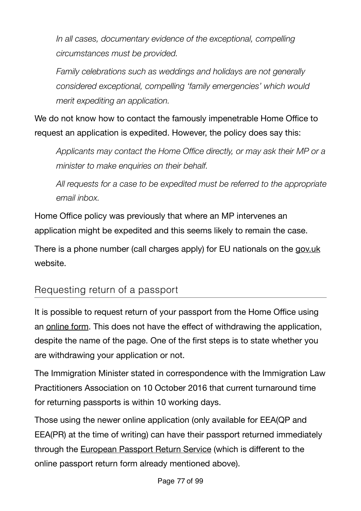*In all cases, documentary evidence of the exceptional, compelling circumstances must be provided.* 

*Family celebrations such as weddings and holidays are not generally considered exceptional, compelling 'family emergencies' which would merit expediting an application.* 

We do not know how to contact the famously impenetrable Home Office to request an application is expedited. However, the policy does say this:

*Applicants may contact the Home Office directly, or may ask their MP or a minister to make enquiries on their behalf.* 

*All requests for a case to be expedited must be referred to the appropriate email inbox.* 

Home Office policy was previously that where an MP intervenes an application might be expedited and this seems likely to remain the case.

There is a phone number (call charges apply) for EU nationals on the [gov.uk](https://www.gov.uk/contact-ukvi/european-nationals) website.

### Requesting return of a passport

It is possible to request return of your passport from the Home Office using an [online form](https://eforms.homeoffice.gov.uk/outreach/Return_of_Documents.ofml). This does not have the effect of withdrawing the application, despite the name of the page. One of the first steps is to state whether you are withdrawing your application or not.

The Immigration Minister stated in correspondence with the Immigration Law Practitioners Association on 10 October 2016 that current turnaround time for returning passports is within 10 working days.

Those using the newer online application (only available for EEA(QP and EEA(PR) at the time of writing) can have their passport returned immediately through the [European Passport Return Service](https://www.gov.uk/government/collections/european-passport-return-service) (which is different to the online passport return form already mentioned above).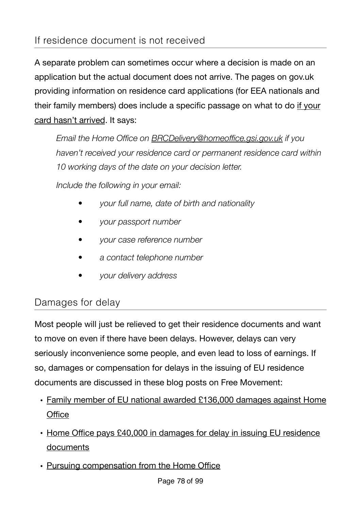## If residence document is not received

A separate problem can sometimes occur where a decision is made on an application but the actual document does not arrive. The pages on gov.uk providing information on residence card applications (for EEA nationals and their family members) does include a specific passage on what to do [if your](https://www.gov.uk/apply-for-a-uk-residence-card/card-hasnt-arrived)  [card hasn't arrived](https://www.gov.uk/apply-for-a-uk-residence-card/card-hasnt-arrived). It says:

*Email the Home Office on [BRCDelivery@homeoffice.gsi.gov.uk](mailto:BRCDelivery@homeoffice.gsi.gov.uk) if you haven't received your residence card or permanent residence card within 10 working days of the date on your decision letter.* 

*Include the following in your email:* 

- *• your full name, date of birth and nationality*
- *• your passport number*
- *• your case reference number*
- *• a contact telephone number*
- *• your delivery address*

## Damages for delay

Most people will just be relieved to get their residence documents and want to move on even if there have been delays. However, delays can very seriously inconvenience some people, and even lead to loss of earnings. If so, damages or compensation for delays in the issuing of EU residence documents are discussed in these blog posts on Free Movement:

- [Family member of EU national awarded £136,000 damages against Home](https://www.freemovement.org.uk/family-member-of-eu-national-awarded-136000-damages-against-home-office/)  **Offi[ce](https://www.freemovement.org.uk/family-member-of-eu-national-awarded-136000-damages-against-home-office/)**
- Home Offi[ce pays £40,000 in damages for delay in issuing EU residence](https://www.freemovement.org.uk/home-office-pays-40000-in-damages-for-delay-in-issuing-eu-residence-documents/)  [documents](https://www.freemovement.org.uk/home-office-pays-40000-in-damages-for-delay-in-issuing-eu-residence-documents/)
- [Pursuing compensation from the Home O](https://www.freemovement.org.uk/pursuing-compensation-from-the-home-office/)ffice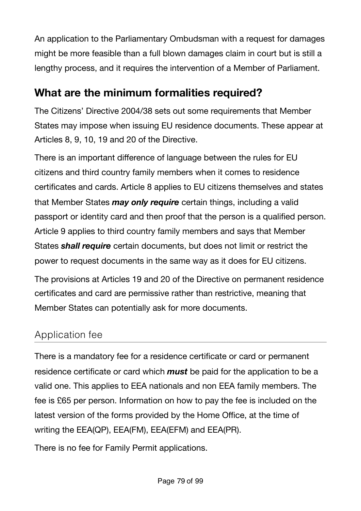An application to the Parliamentary Ombudsman with a request for damages might be more feasible than a full blown damages claim in court but is still a lengthy process, and it requires the intervention of a Member of Parliament.

## **What are the minimum formalities required?**

The Citizens' Directive 2004/38 sets out some requirements that Member States may impose when issuing EU residence documents. These appear at Articles 8, 9, 10, 19 and 20 of the Directive.

There is an important difference of language between the rules for EU citizens and third country family members when it comes to residence certificates and cards. Article 8 applies to EU citizens themselves and states that Member States *may only require* certain things, including a valid passport or identity card and then proof that the person is a qualified person. Article 9 applies to third country family members and says that Member States *shall require* certain documents, but does not limit or restrict the power to request documents in the same way as it does for EU citizens.

The provisions at Articles 19 and 20 of the Directive on permanent residence certificates and card are permissive rather than restrictive, meaning that Member States can potentially ask for more documents.

## Application fee

There is a mandatory fee for a residence certificate or card or permanent residence certificate or card which *must* be paid for the application to be a valid one. This applies to EEA nationals and non EEA family members. The fee is £65 per person. Information on how to pay the fee is included on the latest version of the forms provided by the Home Office, at the time of writing the EEA(QP), EEA(FM), EEA(EFM) and EEA(PR).

There is no fee for Family Permit applications.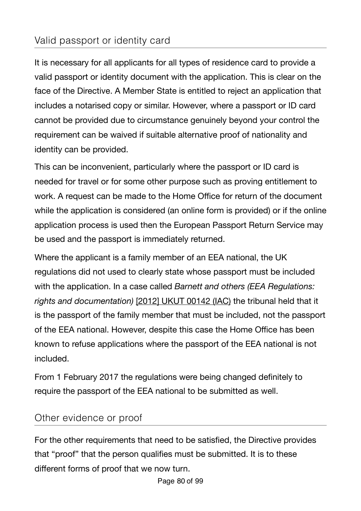## Valid passport or identity card

It is necessary for all applicants for all types of residence card to provide a valid passport or identity document with the application. This is clear on the face of the Directive. A Member State is entitled to reject an application that includes a notarised copy or similar. However, where a passport or ID card cannot be provided due to circumstance genuinely beyond your control the requirement can be waived if suitable alternative proof of nationality and identity can be provided.

This can be inconvenient, particularly where the passport or ID card is needed for travel or for some other purpose such as proving entitlement to work. A request can be made to the Home Office for return of the document while the application is considered (an online form is provided) or if the online application process is used then the European Passport Return Service may be used and the passport is immediately returned.

Where the applicant is a family member of an EEA national, the UK regulations did not used to clearly state whose passport must be included with the application. In a case called *Barnett and others (EEA Regulations: rights and documentation)* [\[2012\] UKUT 00142 \(IAC\)](http://www.bailii.org/uk/cases/UKUT/IAC/2012/00142_ukut_iac_2012_bb_ors_jamaica.html) the tribunal held that it is the passport of the family member that must be included, not the passport of the EEA national. However, despite this case the Home Office has been known to refuse applications where the passport of the EEA national is not included.

From 1 February 2017 the regulations were being changed definitely to require the passport of the EEA national to be submitted as well.

### Other evidence or proof

For the other requirements that need to be satisfied, the Directive provides that "proof" that the person qualifies must be submitted. It is to these different forms of proof that we now turn.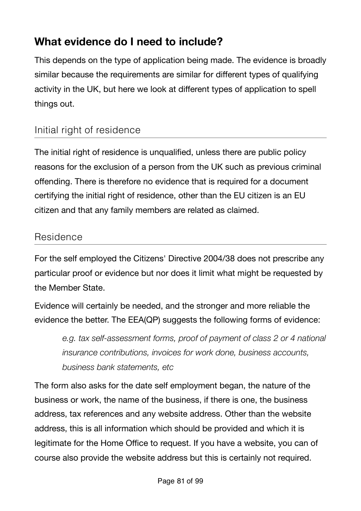# **What evidence do I need to include?**

This depends on the type of application being made. The evidence is broadly similar because the requirements are similar for different types of qualifying activity in the UK, but here we look at different types of application to spell things out.

## Initial right of residence

The initial right of residence is unqualified, unless there are public policy reasons for the exclusion of a person from the UK such as previous criminal offending. There is therefore no evidence that is required for a document certifying the initial right of residence, other than the EU citizen is an EU citizen and that any family members are related as claimed.

### Residence

For the self employed the Citizens' Directive 2004/38 does not prescribe any particular proof or evidence but nor does it limit what might be requested by the Member State.

Evidence will certainly be needed, and the stronger and more reliable the evidence the better. The EEA(QP) suggests the following forms of evidence:

*e.g. tax self-assessment forms, proof of payment of class 2 or 4 national insurance contributions, invoices for work done, business accounts, business bank statements, etc*

The form also asks for the date self employment began, the nature of the business or work, the name of the business, if there is one, the business address, tax references and any website address. Other than the website address, this is all information which should be provided and which it is legitimate for the Home Office to request. If you have a website, you can of course also provide the website address but this is certainly not required.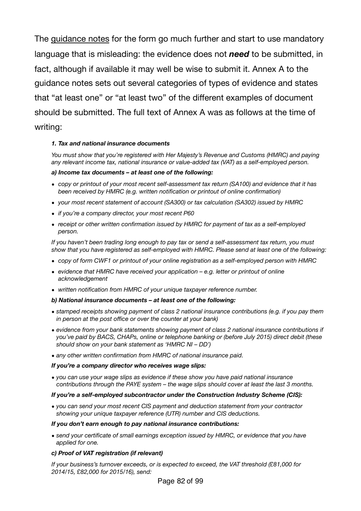The [guidance notes](https://www.gov.uk/government/publications/apply-for-a-registration-certificate-as-a-qualified-person-form-eea-qp) for the form go much further and start to use mandatory language that is misleading: the evidence does not *need* to be submitted, in fact, although if available it may well be wise to submit it. Annex A to the guidance notes sets out several categories of types of evidence and states that "at least one" or "at least two" of the different examples of document should be submitted. The full text of Annex A was as follows at the time of writing:

### *1. Tax and national insurance documents*

*You must show that you're registered with Her Majesty's Revenue and Customs (HMRC) and paying any relevant income tax, national insurance or value-added tax (VAT) as a self-employed person.* 

### *a) Income tax documents – at least one of the following:*

- *• copy or printout of your most recent self-assessment tax return (SA100) and evidence that it has been received by HMRC (e.g. written notification or printout of online confirmation)*
- *• your most recent statement of account (SA300) or tax calculation (SA302) issued by HMRC*
- *• if you're a company director, your most recent P60*
- *• receipt or other written confirmation issued by HMRC for payment of tax as a self-employed person.*

*If you haven't been trading long enough to pay tax or send a self-assessment tax return, you must show that you have registered as self-employed with HMRC. Please send at least one of the following:* 

- *• copy of form CWF1 or printout of your online registration as a self-employed person with HMRC*
- *• evidence that HMRC have received your application e.g. letter or printout of online acknowledgement*
- *• written notification from HMRC of your unique taxpayer reference number.*

### *b) National insurance documents – at least one of the following:*

- *• stamped receipts showing payment of class 2 national insurance contributions (e.g. if you pay them in person at the post office or over the counter at your bank)*
- *• evidence from your bank statements showing payment of class 2 national insurance contributions if you've paid by BACS, CHAPs, online or telephone banking or (before July 2015) direct debit (these should show on your bank statement as 'HMRC NI – DD')*
- *• any other written confirmation from HMRC of national insurance paid.*

### *If you're a company director who receives wage slips:*

*• you can use your wage slips as evidence if these show you have paid national insurance contributions through the PAYE system – the wage slips should cover at least the last 3 months.* 

### *If you're a self-employed subcontractor under the Construction Industry Scheme (CIS):*

*• you can send your most recent CIS payment and deduction statement from your contractor showing your unique taxpayer reference (UTR) number and CIS deductions.* 

#### *If you don't earn enough to pay national insurance contributions:*

*• send your certificate of small earnings exception issued by HMRC, or evidence that you have applied for one.* 

### *c) Proof of VAT registration (if relevant)*

*If your business's turnover exceeds, or is expected to exceed, the VAT threshold (£81,000 for 2014/15, £82,000 for 2015/16), send:*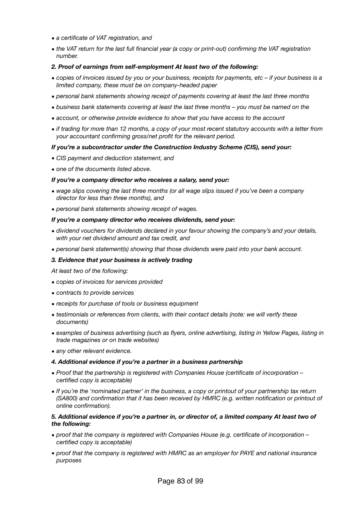- *• a certificate of VAT registration, and*
- *• the VAT return for the last full financial year (a copy or print-out) confirming the VAT registration number.*

#### *2. Proof of earnings from self-employment At least two of the following:*

- *• copies of invoices issued by you or your business, receipts for payments, etc if your business is a limited company, these must be on company-headed paper*
- *• personal bank statements showing receipt of payments covering at least the last three months*
- *• business bank statements covering at least the last three months you must be named on the*
- *• account, or otherwise provide evidence to show that you have access to the account*
- *• if trading for more than 12 months, a copy of your most recent statutory accounts with a letter from your accountant confirming gross/net profit for the relevant period.*

#### *If you're a subcontractor under the Construction Industry Scheme (CIS), send your:*

- *• CIS payment and deduction statement, and*
- *• one of the documents listed above.*

#### *If you're a company director who receives a salary, send your:*

- *• wage slips covering the last three months (or all wage slips issued if you've been a company director for less than three months), and*
- *• personal bank statements showing receipt of wages.*

#### *If you're a company director who receives dividends, send your:*

- *• dividend vouchers for dividends declared in your favour showing the company's and your details, with your net dividend amount and tax credit, and*
- *• personal bank statement(s) showing that those dividends were paid into your bank account.*

#### *3. Evidence that your business is actively trading*

*At least two of the following:* 

- *• copies of invoices for services provided*
- *• contracts to provide services*
- *• receipts for purchase of tools or business equipment*
- *• testimonials or references from clients, with their contact details (note: we will verify these documents)*
- *• examples of business advertising (such as flyers, online advertising, listing in Yellow Pages, listing in trade magazines or on trade websites)*
- *• any other relevant evidence.*

#### *4. Additional evidence if you're a partner in a business partnership*

- *• Proof that the partnership is registered with Companies House (certificate of incorporation certified copy is acceptable)*
- *• If you're the 'nominated partner' in the business, a copy or printout of your partnership tax return (SA800) and confirmation that it has been received by HMRC (e.g. written notification or printout of online confirmation).*

#### *5. Additional evidence if you're a partner in, or director of, a limited company At least two of the following:*

- *• proof that the company is registered with Companies House (e.g. certificate of incorporation certified copy is acceptable)*
- *• proof that the company is registered with HMRC as an employer for PAYE and national insurance purposes*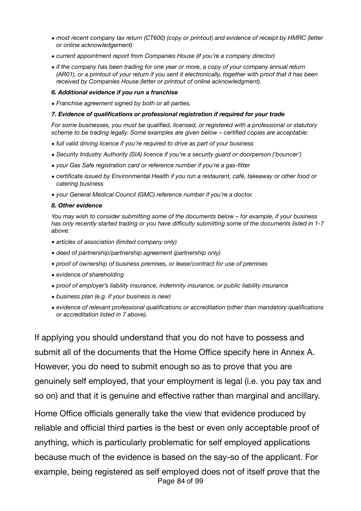- *• most recent company tax return (CT600) (copy or printout) and evidence of receipt by HMRC (letter or online acknowledgement)*
- *• current appointment report from Companies House (if you're a company director)*
- *• if the company has been trading for one year or more, a copy of your company annual return (AR01), or a printout of your return if you sent it electronically, together with proof that it has been received by Companies House (letter or printout of online acknowledgment).*

#### *6. Additional evidence if you run a franchise*

*• Franchise agreement signed by both or all parties.* 

#### *7. Evidence of qualifications or professional registration if required for your trade*

*For some businesses, you must be qualified, licensed, or registered with a professional or statutory scheme to be trading legally. Some examples are given below – certified copies are acceptable:* 

- *• full valid driving licence if you're required to drive as part of your business*
- *• Security Industry Authority (SIA) licence if you're a security guard or doorperson ('bouncer')*
- *• your Gas Safe registration card or reference number if you're a gas-fitter*
- *• certificate issued by Environmental Health if you run a restaurant, café, takeaway or other food or catering business*
- *• your General Medical Council (GMC) reference number if you're a doctor.*

#### *8. Other evidence*

*You may wish to consider submitting some of the documents below – for example, if your business has only recently started trading or you have difficulty submitting some of the documents listed in 1-7 above:* 

- *• articles of association (limited company only)*
- *• deed of partnership/partnership agreement (partnership only)*
- *• proof of ownership of business premises, or lease/contract for use of premises*
- *• evidence of shareholding*
- *• proof of employer's liability insurance, indemnity insurance, or public liability insurance*
- *• business plan (e.g. if your business is new)*
- *• evidence of relevant professional qualifications or accreditation (other than mandatory qualifications or accreditation listed in 7 above).*

If applying you should understand that you do not have to possess and submit all of the documents that the Home Office specify here in Annex A. However, you do need to submit enough so as to prove that you are genuinely self employed, that your employment is legal (i.e. you pay tax and so on) and that it is genuine and effective rather than marginal and ancillary. Home Office officials generally take the view that evidence produced by

reliable and official third parties is the best or even only acceptable proof of anything, which is particularly problematic for self employed applications because much of the evidence is based on the say-so of the applicant. For example, being registered as self employed does not of itself prove that the Page 84 of 99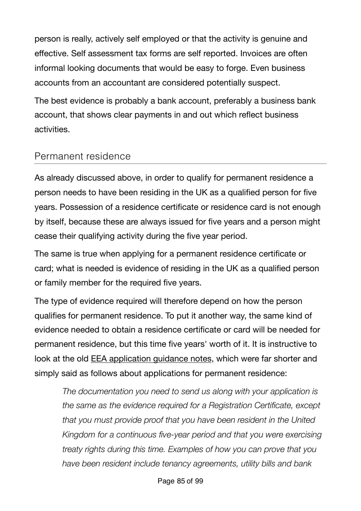person is really, actively self employed or that the activity is genuine and effective. Self assessment tax forms are self reported. Invoices are often informal looking documents that would be easy to forge. Even business accounts from an accountant are considered potentially suspect.

The best evidence is probably a bank account, preferably a business bank account, that shows clear payments in and out which reflect business activities.

## Permanent residence

As already discussed above, in order to qualify for permanent residence a person needs to have been residing in the UK as a qualified person for five years. Possession of a residence certificate or residence card is not enough by itself, because these are always issued for five years and a person might cease their qualifying activity during the five year period.

The same is true when applying for a permanent residence certificate or card; what is needed is evidence of residing in the UK as a qualified person or family member for the required five years.

The type of evidence required will therefore depend on how the person qualifies for permanent residence. To put it another way, the same kind of evidence needed to obtain a residence certificate or card will be needed for permanent residence, but this time five years' worth of it. It is instructive to look at the old **EEA application guidance notes**, which were far shorter and simply said as follows about applications for permanent residence:

*The documentation you need to send us along with your application is the same as the evidence required for a Registration Certificate, except that you must provide proof that you have been resident in the United Kingdom for a continuous five-year period and that you were exercising treaty rights during this time. Examples of how you can prove that you have been resident include tenancy agreements, utility bills and bank*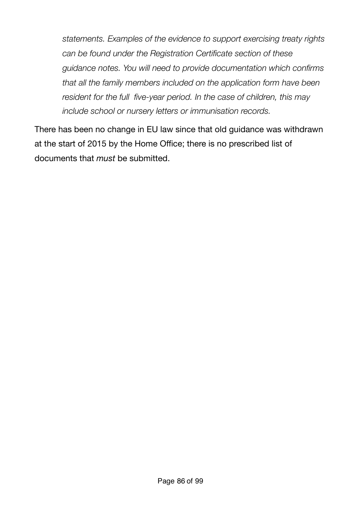*statements. Examples of the evidence to support exercising treaty rights can be found under the Registration Certificate section of these guidance notes. You will need to provide documentation which confirms that all the family members included on the application form have been resident for the full five-year period. In the case of children, this may include school or nursery letters or immunisation records.*

There has been no change in EU law since that old guidance was withdrawn at the start of 2015 by the Home Office; there is no prescribed list of documents that *must* be submitted.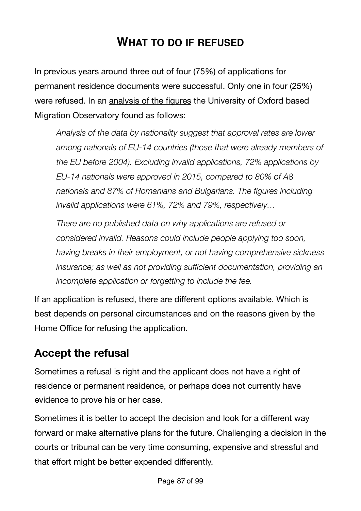# **WHAT TO DO IF REFUSED**

In previous years around three out of four (75%) of applications for permanent residence documents were successful. Only one in four (25%) were refused. In an [analysis of the figures](http://www.migrationobservatory.ox.ac.uk/resources/commentaries/today-gone-tomorrow-status-eu-citizens-already-living-uk/) the University of Oxford based Migration Observatory found as follows:

*Analysis of the data by nationality suggest that approval rates are lower among nationals of EU-14 countries (those that were already members of the EU before 2004). Excluding invalid applications, 72% applications by EU-14 nationals were approved in 2015, compared to 80% of A8 nationals and 87% of Romanians and Bulgarians. The figures including invalid applications were 61%, 72% and 79%, respectively…* 

*There are no published data on why applications are refused or considered invalid. Reasons could include people applying too soon, having breaks in their employment, or not having comprehensive sickness insurance; as well as not providing sufficient documentation, providing an incomplete application or forgetting to include the fee.*

If an application is refused, there are different options available. Which is best depends on personal circumstances and on the reasons given by the Home Office for refusing the application.

# **Accept the refusal**

Sometimes a refusal is right and the applicant does not have a right of residence or permanent residence, or perhaps does not currently have evidence to prove his or her case.

Sometimes it is better to accept the decision and look for a different way forward or make alternative plans for the future. Challenging a decision in the courts or tribunal can be very time consuming, expensive and stressful and that effort might be better expended differently.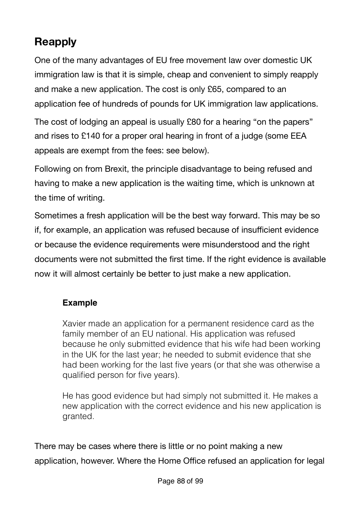# **Reapply**

One of the many advantages of EU free movement law over domestic UK immigration law is that it is simple, cheap and convenient to simply reapply and make a new application. The cost is only £65, compared to an application fee of hundreds of pounds for UK immigration law applications.

The cost of lodging an appeal is usually £80 for a hearing "on the papers" and rises to £140 for a proper oral hearing in front of a judge (some EEA appeals are exempt from the fees: see below).

Following on from Brexit, the principle disadvantage to being refused and having to make a new application is the waiting time, which is unknown at the time of writing.

Sometimes a fresh application will be the best way forward. This may be so if, for example, an application was refused because of insufficient evidence or because the evidence requirements were misunderstood and the right documents were not submitted the first time. If the right evidence is available now it will almost certainly be better to just make a new application.

### **Example**

Xavier made an application for a permanent residence card as the family member of an EU national. His application was refused because he only submitted evidence that his wife had been working in the UK for the last year; he needed to submit evidence that she had been working for the last five years (or that she was otherwise a qualified person for five years).

He has good evidence but had simply not submitted it. He makes a new application with the correct evidence and his new application is granted.

There may be cases where there is little or no point making a new application, however. Where the Home Office refused an application for legal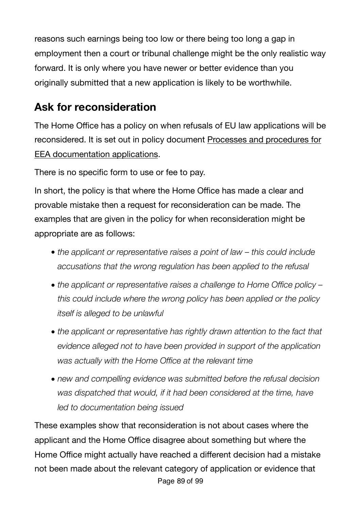reasons such earnings being too low or there being too long a gap in employment then a court or tribunal challenge might be the only realistic way forward. It is only where you have newer or better evidence than you originally submitted that a new application is likely to be worthwhile.

# **Ask for reconsideration**

The Home Office has a policy on when refusals of EU law applications will be reconsidered. It is set out in policy document [Processes and procedures for](http://www.apple.com)  [EEA documentation applications.](http://www.apple.com)

There is no specific form to use or fee to pay.

In short, the policy is that where the Home Office has made a clear and provable mistake then a request for reconsideration can be made. The examples that are given in the policy for when reconsideration might be appropriate are as follows:

- *• the applicant or representative raises a point of law this could include accusations that the wrong regulation has been applied to the refusal*
- *• the applicant or representative raises a challenge to Home Office policy this could include where the wrong policy has been applied or the policy itself is alleged to be unlawful*
- *• the applicant or representative has rightly drawn attention to the fact that evidence alleged not to have been provided in support of the application was actually with the Home Office at the relevant time*
- *• new and compelling evidence was submitted before the refusal decision was dispatched that would, if it had been considered at the time, have led to documentation being issued*

These examples show that reconsideration is not about cases where the applicant and the Home Office disagree about something but where the Home Office might actually have reached a different decision had a mistake not been made about the relevant category of application or evidence that Page 89 of 99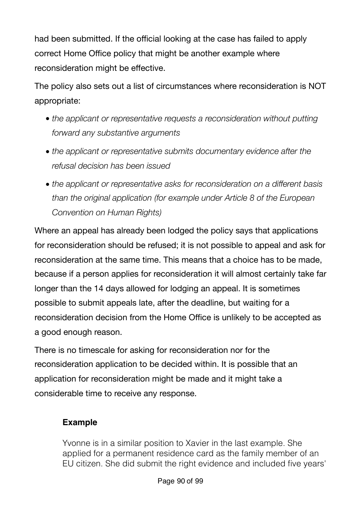had been submitted. If the official looking at the case has failed to apply correct Home Office policy that might be another example where reconsideration might be effective.

The policy also sets out a list of circumstances where reconsideration is NOT appropriate:

- *• the applicant or representative requests a reconsideration without putting forward any substantive arguments*
- *• the applicant or representative submits documentary evidence after the refusal decision has been issued*
- *• the applicant or representative asks for reconsideration on a different basis than the original application (for example under Article 8 of the European Convention on Human Rights)*

Where an appeal has already been lodged the policy says that applications for reconsideration should be refused; it is not possible to appeal and ask for reconsideration at the same time. This means that a choice has to be made, because if a person applies for reconsideration it will almost certainly take far longer than the 14 days allowed for lodging an appeal. It is sometimes possible to submit appeals late, after the deadline, but waiting for a reconsideration decision from the Home Office is unlikely to be accepted as a good enough reason.

There is no timescale for asking for reconsideration nor for the reconsideration application to be decided within. It is possible that an application for reconsideration might be made and it might take a considerable time to receive any response.

### **Example**

Yvonne is in a similar position to Xavier in the last example. She applied for a permanent residence card as the family member of an EU citizen. She did submit the right evidence and included five years'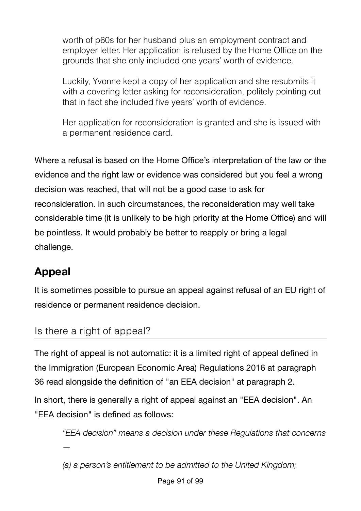worth of p60s for her husband plus an employment contract and employer letter. Her application is refused by the Home Office on the grounds that she only included one years' worth of evidence.

Luckily, Yvonne kept a copy of her application and she resubmits it with a covering letter asking for reconsideration, politely pointing out that in fact she included five years' worth of evidence.

Her application for reconsideration is granted and she is issued with a permanent residence card.

Where a refusal is based on the Home Office's interpretation of the law or the evidence and the right law or evidence was considered but you feel a wrong decision was reached, that will not be a good case to ask for reconsideration. In such circumstances, the reconsideration may well take considerable time (it is unlikely to be high priority at the Home Office) and will be pointless. It would probably be better to reapply or bring a legal challenge.

# **Appeal**

It is sometimes possible to pursue an appeal against refusal of an EU right of residence or permanent residence decision.

## Is there a right of appeal?

*—* 

The right of appeal is not automatic: it is a limited right of appeal defined in the Immigration (European Economic Area) Regulations 2016 at paragraph 36 read alongside the definition of "an EEA decision" at paragraph 2.

In short, there is generally a right of appeal against an "EEA decision". An "EEA decision" is defined as follows:

*"EEA decision" means a decision under these Regulations that concerns*

*(a) a person's entitlement to be admitted to the United Kingdom;*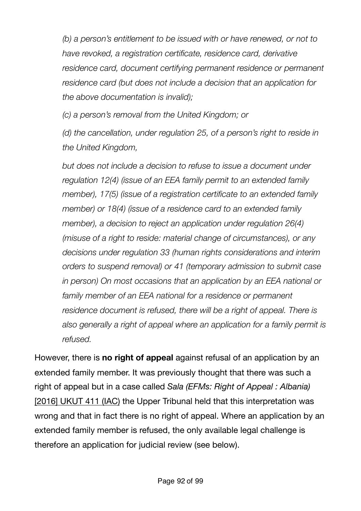*(b) a person's entitlement to be issued with or have renewed, or not to have revoked, a registration certificate, residence card, derivative residence card, document certifying permanent residence or permanent residence card (but does not include a decision that an application for the above documentation is invalid);* 

*(c) a person's removal from the United Kingdom; or* 

*(d) the cancellation, under regulation 25, of a person's right to reside in the United Kingdom,* 

*but does not include a decision to refuse to issue a document under regulation 12(4) (issue of an EEA family permit to an extended family member), 17(5) (issue of a registration certificate to an extended family member) or 18(4) (issue of a residence card to an extended family member), a decision to reject an application under regulation 26(4) (misuse of a right to reside: material change of circumstances), or any decisions under regulation 33 (human rights considerations and interim orders to suspend removal) or 41 (temporary admission to submit case in person) On most occasions that an application by an EEA national or*  family member of an EEA national for a residence or permanent *residence document is refused, there will be a right of appeal. There is also generally a right of appeal where an application for a family permit is refused.* 

However, there is **no right of appeal** against refusal of an application by an extended family member. It was previously thought that there was such a right of appeal but in a case called *Sala (EFMs: Right of Appeal : Albania)* [\[2016\] UKUT 411 \(IAC\)](http://www.bailii.org/uk/cases/UKUT/IAC/2016/411.html) the Upper Tribunal held that this interpretation was wrong and that in fact there is no right of appeal. Where an application by an extended family member is refused, the only available legal challenge is therefore an application for judicial review (see below).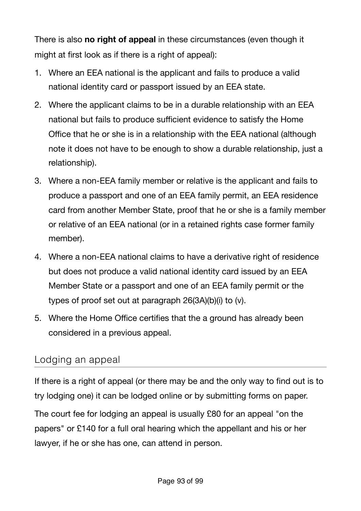There is also **no right of appeal** in these circumstances (even though it might at first look as if there is a right of appeal):

- 1. Where an EEA national is the applicant and fails to produce a valid national identity card or passport issued by an EEA state.
- 2. Where the applicant claims to be in a durable relationship with an EEA national but fails to produce sufficient evidence to satisfy the Home Office that he or she is in a relationship with the EEA national (although note it does not have to be enough to show a durable relationship, just a relationship).
- 3. Where a non-EEA family member or relative is the applicant and fails to produce a passport and one of an EEA family permit, an EEA residence card from another Member State, proof that he or she is a family member or relative of an EEA national (or in a retained rights case former family member).
- 4. Where a non-EEA national claims to have a derivative right of residence but does not produce a valid national identity card issued by an EEA Member State or a passport and one of an EEA family permit or the types of proof set out at paragraph 26(3A)(b)(i) to (v).
- 5. Where the Home Office certifies that the a ground has already been considered in a previous appeal.

## Lodging an appeal

If there is a right of appeal (or there may be and the only way to find out is to try lodging one) it can be lodged online or by submitting forms on paper.

The court fee for lodging an appeal is usually £80 for an appeal "on the papers" or £140 for a full oral hearing which the appellant and his or her lawyer, if he or she has one, can attend in person.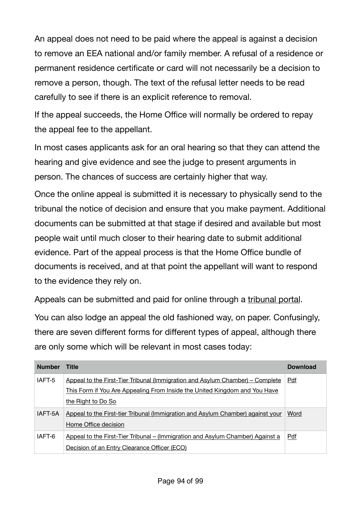An appeal does not need to be paid where the appeal is against a decision to remove an EEA national and/or family member. A refusal of a residence or permanent residence certificate or card will not necessarily be a decision to remove a person, though. The text of the refusal letter needs to be read carefully to see if there is an explicit reference to removal.

If the appeal succeeds, the Home Office will normally be ordered to repay the appeal fee to the appellant.

In most cases applicants ask for an oral hearing so that they can attend the hearing and give evidence and see the judge to present arguments in person. The chances of success are certainly higher that way.

Once the online appeal is submitted it is necessary to physically send to the tribunal the notice of decision and ensure that you make payment. Additional documents can be submitted at that stage if desired and available but most people wait until much closer to their hearing date to submit additional evidence. Part of the appeal process is that the Home Office bundle of documents is received, and at that point the appellant will want to respond to the evidence they rely on.

Appeals can be submitted and paid for online through a [tribunal portal](https://immigrationappealsonline.justice.gov.uk/IACFees/).

You can also lodge an appeal the old fashioned way, on paper. Confusingly, there are seven different forms for different types of appeal, although there are only some which will be relevant in most cases today:

| <b>Number</b> | <b>Title</b>                                                                    | <b>Download</b> |
|---------------|---------------------------------------------------------------------------------|-----------------|
| IAFT-5        | Appeal to the First-Tier Tribunal (Immigration and Asylum Chamber) – Complete   | Pdf             |
|               | This Form if You Are Appealing From Inside the United Kingdom and You Have      |                 |
|               | the Right to Do So                                                              |                 |
| IAFT-5A       | Appeal to the First-tier Tribunal (Immigration and Asylum Chamber) against your | Word            |
|               | Home Office decision                                                            |                 |
| IAFT-6        | Appeal to the First-Tier Tribunal – (Immigration and Asylum Chamber) Against a  | Pdf             |
|               | Decision of an Entry Clearance Officer (ECO)                                    |                 |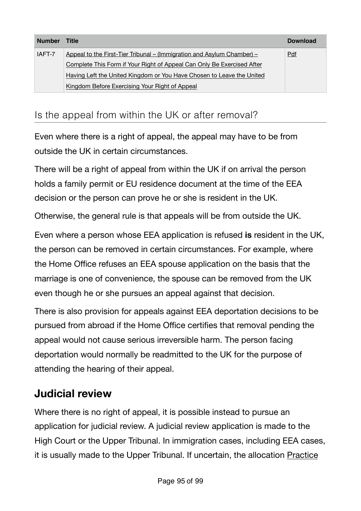| <b>Number</b> | Title                                                                  | <b>Download</b> |
|---------------|------------------------------------------------------------------------|-----------------|
| IAFT-7        | Appeal to the First-Tier Tribunal – (Immigration and Asylum Chamber) – | Pdf             |
|               | Complete This Form if Your Right of Appeal Can Only Be Exercised After |                 |
|               | Having Left the United Kingdom or You Have Chosen to Leave the United  |                 |
|               | Kingdom Before Exercising Your Right of Appeal                         |                 |

## Is the appeal from within the UK or after removal?

Even where there is a right of appeal, the appeal may have to be from outside the UK in certain circumstances.

There will be a right of appeal from within the UK if on arrival the person holds a family permit or EU residence document at the time of the EEA decision or the person can prove he or she is resident in the UK.

Otherwise, the general rule is that appeals will be from outside the UK.

Even where a person whose EEA application is refused **is** resident in the UK, the person can be removed in certain circumstances. For example, where the Home Office refuses an EEA spouse application on the basis that the marriage is one of convenience, the spouse can be removed from the UK even though he or she pursues an appeal against that decision.

There is also provision for appeals against EEA deportation decisions to be pursued from abroad if the Home Office certifies that removal pending the appeal would not cause serious irreversible harm. The person facing deportation would normally be readmitted to the UK for the purpose of attending the hearing of their appeal.

## **Judicial review**

Where there is no right of appeal, it is possible instead to pursue an application for judicial review. A judicial review application is made to the High Court or the Upper Tribunal. In immigration cases, including EEA cases, it is usually made to the Upper Tribunal. If uncertain, the allocation [Practice](http://www.judiciary.gov.uk/Resources/JCO/Documents/Practice%20Directions/Tribunals/lcj-direction-jr-iac-21-08-2013.pdf)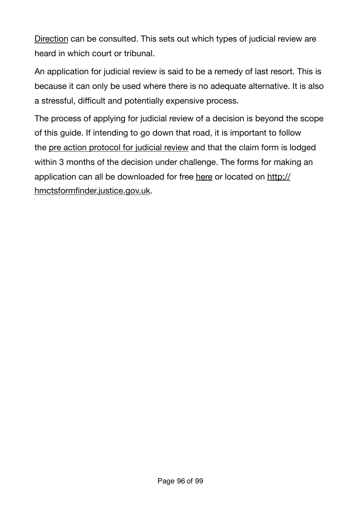[Direction](http://www.judiciary.gov.uk/Resources/JCO/Documents/Practice%20Directions/Tribunals/lcj-direction-jr-iac-21-08-2013.pdf) can be consulted. This sets out which types of judicial review are heard in which court or tribunal.

An application for judicial review is said to be a remedy of last resort. This is because it can only be used where there is no adequate alternative. It is also a stressful, difficult and potentially expensive process.

The process of applying for judicial review of a decision is beyond the scope of this guide. If intending to go down that road, it is important to follow the [pre action protocol for judicial review](http://www.justice.gov.uk/courts/procedure-rules/civil/protocol/prot_jrv) and that the claim form is lodged within 3 months of the decision under challenge. The forms for making an application can all be downloaded for free [here](http://hmctsformfinder.justice.gov.uk/HMCTS/GetLeaflet.do?court_leaflets_id=2841) or located on [http://](http://hmctsformfinder.justice.gov.uk) [hmctsformfinder.justice.gov.uk.](http://hmctsformfinder.justice.gov.uk)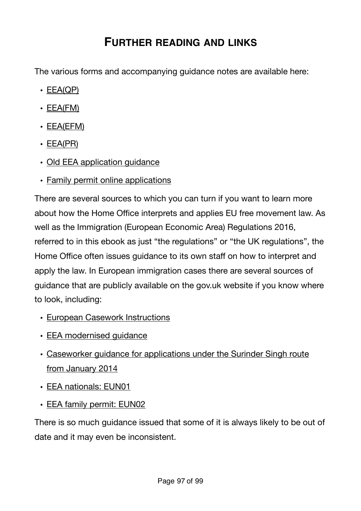## **FURTHER READING AND LINKS**

The various forms and accompanying guidance notes are available here:

- [EEA\(QP\)](https://www.gov.uk/government/publications/apply-for-a-registration-certificate-as-a-qualified-person-form-eea-qp)
- $\cdot$  [EEA\(FM\)](https://www.gov.uk/government/publications/apply-for-a-registration-certificate-or-residence-card-for-a-family-member-form-eea-fm)
- $\cdot$  [EEA\(EFM\)](https://www.gov.uk/government/publications/apply-for-a-registration-certificate-or-residence-card-for-an-extended-family-member-form-eea-efm)
- [EEA\(PR\)](https://www.gov.uk/government/publications/apply-for-a-document-certifying-permanent-residence-or-permanent-residence-card-form-eea-pr)
- Old EEA application quidance
- [Family permit online applications](https://www.gov.uk/family-permit/overview)

There are several sources to which you can turn if you want to learn more about how the Home Office interprets and applies EU free movement law. As well as the Immigration (European Economic Area) Regulations 2016, referred to in this ebook as just "the regulations" or "the UK regulations", the Home Office often issues guidance to its own staff on how to interpret and apply the law. In European immigration cases there are several sources of guidance that are publicly available on the gov.uk website if you know where to look, including:

- [European Casework Instructions](https://www.gov.uk/government/publications/european-casework-instructions)
- [EEA modernised guidance](https://www.gov.uk/government/collections/eea-swiss-nationals-and-ec-association-agreements-modernised-guidance)
- [Caseworker guidance for applications under the Surinder Singh route](https://www.gov.uk/government/publications/caseworker-guidance-for-applications-under-the-surinder-singh-route-from-january-2014)  [from January 2014](https://www.gov.uk/government/publications/caseworker-guidance-for-applications-under-the-surinder-singh-route-from-january-2014)
- [EEA nationals: EUN01](https://www.gov.uk/government/publications/eea-nationals-eun01/eea-nationals-eun01)
- [EEA family permit: EUN02](https://www.gov.uk/government/publications/eea-family-permits-eun02/eea-family-permit-eun02#eun214-can-family-members-of-british-citizens-qualify-for-an-eea-family-permit-surinder-singh-cases)

There is so much guidance issued that some of it is always likely to be out of date and it may even be inconsistent.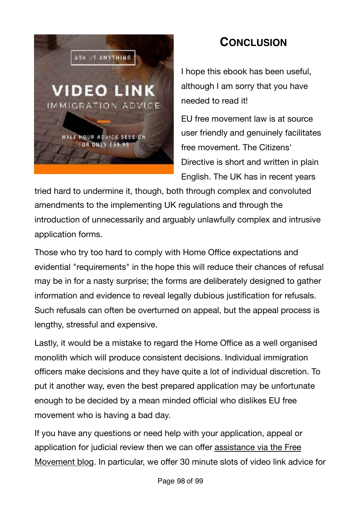

# **CONCLUSION**

I hope this ebook has been useful, although I am sorry that you have needed to read it!

EU free movement law is at source user friendly and genuinely facilitates free movement. The Citizens' Directive is short and written in plain English. The UK has in recent years

tried hard to undermine it, though, both through complex and convoluted amendments to the implementing UK regulations and through the introduction of unnecessarily and arguably unlawfully complex and intrusive application forms.

Those who try too hard to comply with Home Office expectations and evidential "requirements" in the hope this will reduce their chances of refusal may be in for a nasty surprise; the forms are deliberately designed to gather information and evidence to reveal legally dubious justification for refusals. Such refusals can often be overturned on appeal, but the appeal process is lengthy, stressful and expensive.

Lastly, it would be a mistake to regard the Home Office as a well organised monolith which will produce consistent decisions. Individual immigration officers make decisions and they have quite a lot of individual discretion. To put it another way, even the best prepared application may be unfortunate enough to be decided by a mean minded official who dislikes EU free movement who is having a bad day.

If you have any questions or need help with your application, appeal or application for judicial review then we can offer [assistance via the Free](https://www.freemovement.org.uk/legal-advice/)  [Movement blog](https://www.freemovement.org.uk/legal-advice/). In particular, we offer 30 minute slots of video link advice for